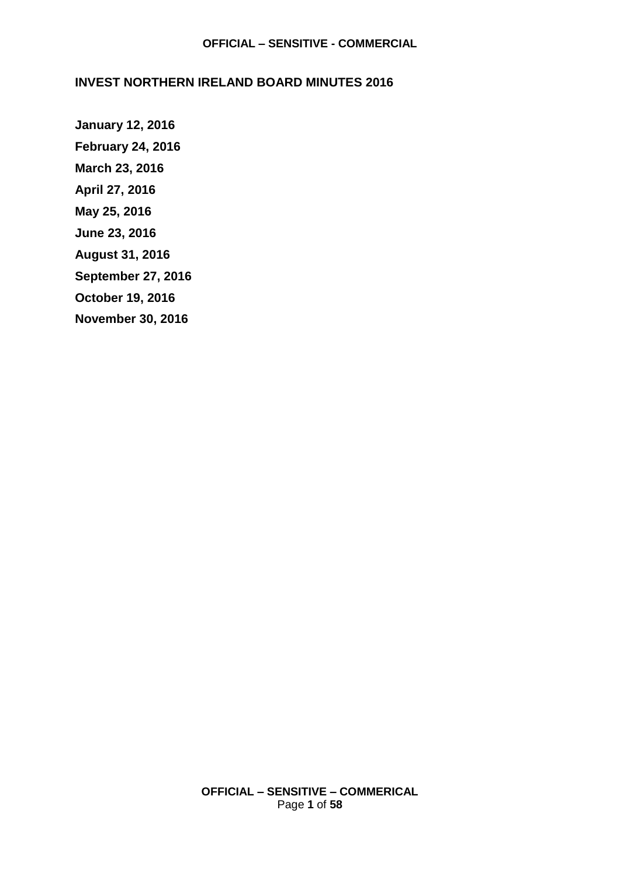#### **INVEST NORTHERN IRELAND BOARD MINUTES 2016**

**[January 12, 2016](#page-1-0) [February 24, 2016](#page-5-0) [March 23, 2016](#page-11-0) [April 27, 2016](#page-16-0) [May 25, 2016](#page-22-0) [June 23, 2016](#page-28-0) [August 31, 2016](#page-34-0) [September 27, 2016](#page-40-0) [October 19, 2016](#page-46-0) [November 30, 2016](#page-54-0)**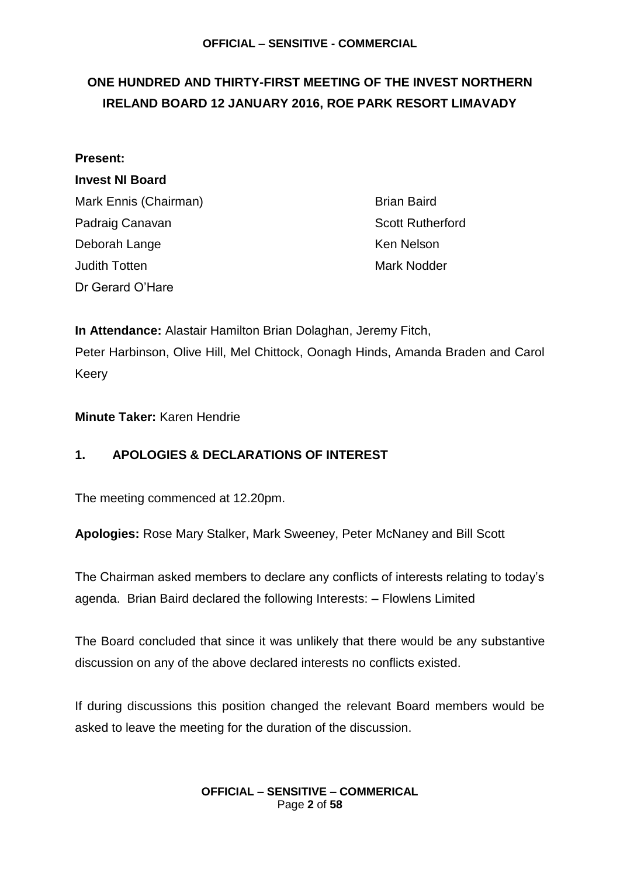## <span id="page-1-0"></span>**ONE HUNDRED AND THIRTY-FIRST MEETING OF THE INVEST NORTHERN IRELAND BOARD 12 JANUARY 2016, ROE PARK RESORT LIMAVADY**

#### **Present:**

**Invest NI Board** Mark Ennis (Chairman) Brian Baird Padraig Canavan **Scott Rutherford** Deborah Lange Ken Nelson Judith Totten Mark Nodder (Mark Note) Dr Gerard O'Hare

**In Attendance:** Alastair Hamilton Brian Dolaghan, Jeremy Fitch, Peter Harbinson, Olive Hill, Mel Chittock, Oonagh Hinds, Amanda Braden and Carol Keery

**Minute Taker:** Karen Hendrie

### **1. APOLOGIES & DECLARATIONS OF INTEREST**

The meeting commenced at 12.20pm.

**Apologies:** Rose Mary Stalker, Mark Sweeney, Peter McNaney and Bill Scott

The Chairman asked members to declare any conflicts of interests relating to today's agenda. Brian Baird declared the following Interests: – Flowlens Limited

The Board concluded that since it was unlikely that there would be any substantive discussion on any of the above declared interests no conflicts existed.

If during discussions this position changed the relevant Board members would be asked to leave the meeting for the duration of the discussion.

> **OFFICIAL – SENSITIVE – COMMERICAL** Page **2** of **58**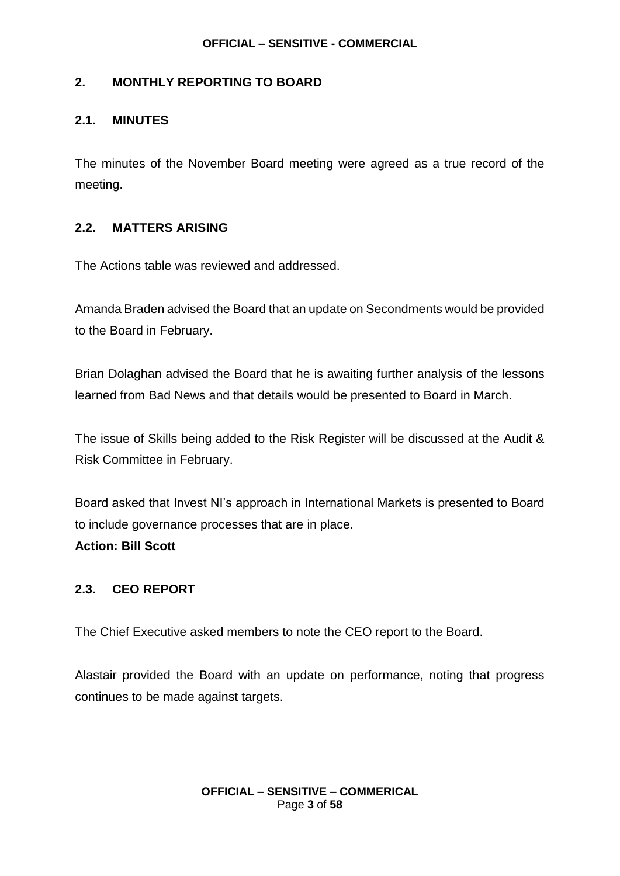#### **2. MONTHLY REPORTING TO BOARD**

#### **2.1. MINUTES**

The minutes of the November Board meeting were agreed as a true record of the meeting.

#### **2.2. MATTERS ARISING**

The Actions table was reviewed and addressed.

Amanda Braden advised the Board that an update on Secondments would be provided to the Board in February.

Brian Dolaghan advised the Board that he is awaiting further analysis of the lessons learned from Bad News and that details would be presented to Board in March.

The issue of Skills being added to the Risk Register will be discussed at the Audit & Risk Committee in February.

Board asked that Invest NI's approach in International Markets is presented to Board to include governance processes that are in place.

**Action: Bill Scott**

### **2.3. CEO REPORT**

The Chief Executive asked members to note the CEO report to the Board.

Alastair provided the Board with an update on performance, noting that progress continues to be made against targets.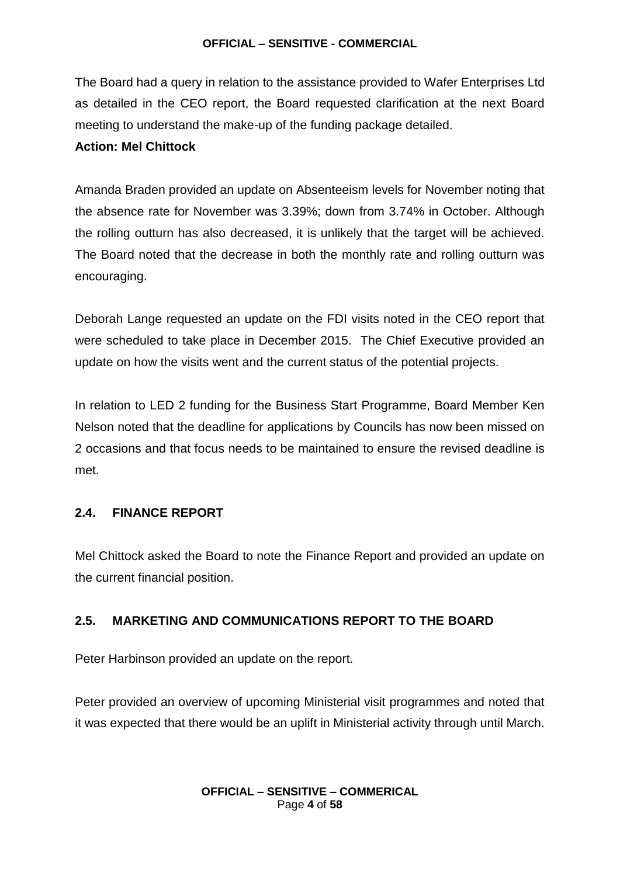The Board had a query in relation to the assistance provided to Wafer Enterprises Ltd as detailed in the CEO report, the Board requested clarification at the next Board meeting to understand the make-up of the funding package detailed.

#### **Action: Mel Chittock**

Amanda Braden provided an update on Absenteeism levels for November noting that the absence rate for November was 3.39%; down from 3.74% in October. Although the rolling outturn has also decreased, it is unlikely that the target will be achieved. The Board noted that the decrease in both the monthly rate and rolling outturn was encouraging.

Deborah Lange requested an update on the FDI visits noted in the CEO report that were scheduled to take place in December 2015. The Chief Executive provided an update on how the visits went and the current status of the potential projects.

In relation to LED 2 funding for the Business Start Programme, Board Member Ken Nelson noted that the deadline for applications by Councils has now been missed on 2 occasions and that focus needs to be maintained to ensure the revised deadline is met.

#### **2.4. FINANCE REPORT**

Mel Chittock asked the Board to note the Finance Report and provided an update on the current financial position.

### **2.5. MARKETING AND COMMUNICATIONS REPORT TO THE BOARD**

Peter Harbinson provided an update on the report.

Peter provided an overview of upcoming Ministerial visit programmes and noted that it was expected that there would be an uplift in Ministerial activity through until March.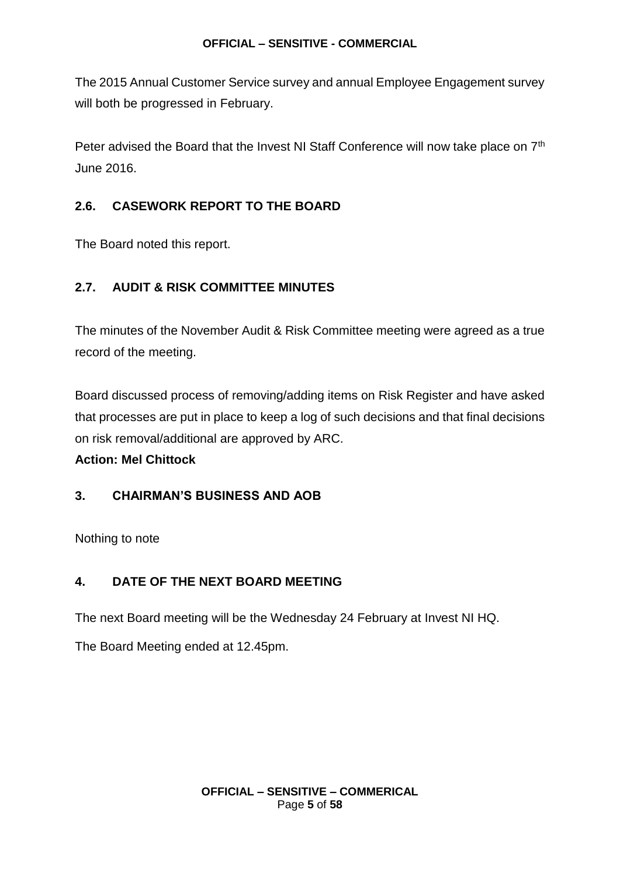The 2015 Annual Customer Service survey and annual Employee Engagement survey will both be progressed in February.

Peter advised the Board that the Invest NI Staff Conference will now take place on 7<sup>th</sup> June 2016.

### **2.6. CASEWORK REPORT TO THE BOARD**

The Board noted this report.

### **2.7. AUDIT & RISK COMMITTEE MINUTES**

The minutes of the November Audit & Risk Committee meeting were agreed as a true record of the meeting.

Board discussed process of removing/adding items on Risk Register and have asked that processes are put in place to keep a log of such decisions and that final decisions on risk removal/additional are approved by ARC.

### **Action: Mel Chittock**

### **3. CHAIRMAN'S BUSINESS AND AOB**

Nothing to note

### **4. DATE OF THE NEXT BOARD MEETING**

The next Board meeting will be the Wednesday 24 February at Invest NI HQ.

The Board Meeting ended at 12.45pm.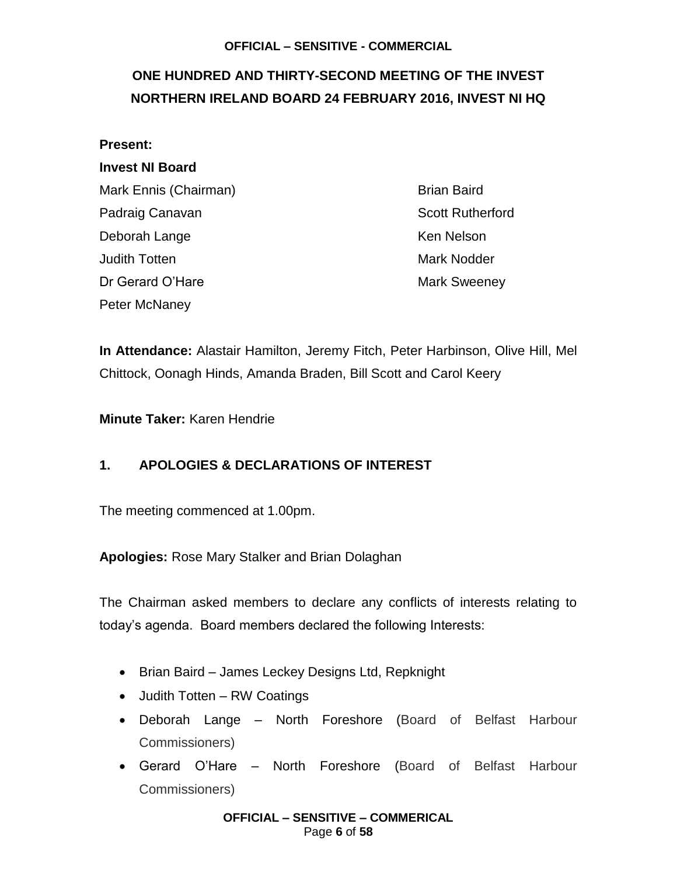## <span id="page-5-0"></span>**ONE HUNDRED AND THIRTY-SECOND MEETING OF THE INVEST NORTHERN IRELAND BOARD 24 FEBRUARY 2016, INVEST NI HQ**

| <b>Present:</b>        |                         |
|------------------------|-------------------------|
| <b>Invest NI Board</b> |                         |
| Mark Ennis (Chairman)  | <b>Brian Baird</b>      |
| Padraig Canavan        | <b>Scott Rutherford</b> |
| Deborah Lange          | <b>Ken Nelson</b>       |
| Judith Totten          | <b>Mark Nodder</b>      |
| Dr Gerard O'Hare       | <b>Mark Sweeney</b>     |
| Peter McNaney          |                         |

**In Attendance:** Alastair Hamilton, Jeremy Fitch, Peter Harbinson, Olive Hill, Mel Chittock, Oonagh Hinds, Amanda Braden, Bill Scott and Carol Keery

**Minute Taker:** Karen Hendrie

### **1. APOLOGIES & DECLARATIONS OF INTEREST**

The meeting commenced at 1.00pm.

**Apologies:** Rose Mary Stalker and Brian Dolaghan

The Chairman asked members to declare any conflicts of interests relating to today's agenda. Board members declared the following Interests:

- Brian Baird James Leckey Designs Ltd, Repknight
- Judith Totten RW Coatings
- Deborah Lange North Foreshore (Board of Belfast Harbour Commissioners)
- Gerard O'Hare North Foreshore (Board of Belfast Harbour Commissioners)

**OFFICIAL – SENSITIVE – COMMERICAL** Page **6** of **58**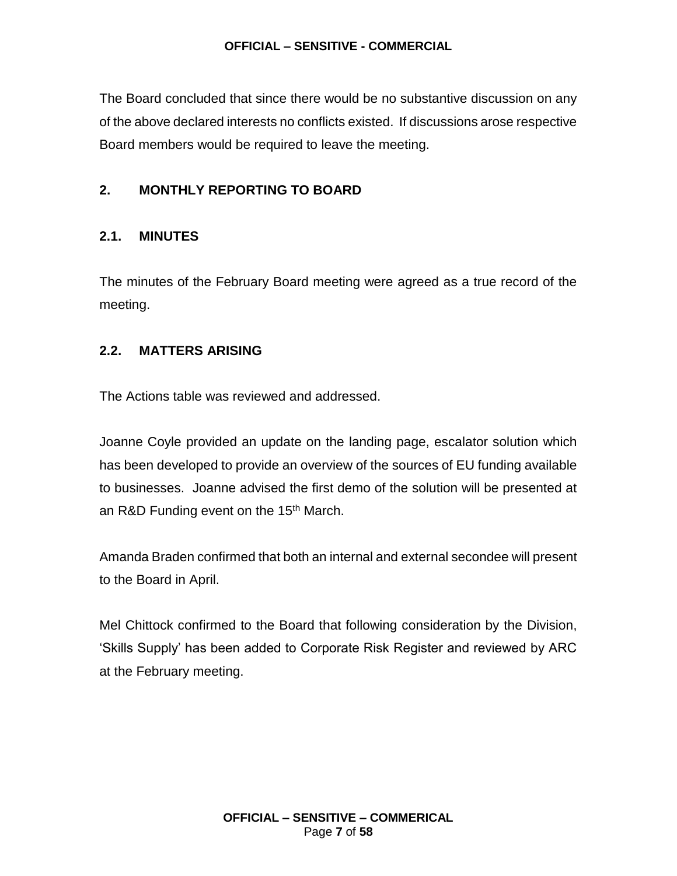The Board concluded that since there would be no substantive discussion on any of the above declared interests no conflicts existed. If discussions arose respective Board members would be required to leave the meeting.

#### **2. MONTHLY REPORTING TO BOARD**

#### **2.1. MINUTES**

The minutes of the February Board meeting were agreed as a true record of the meeting.

#### **2.2. MATTERS ARISING**

The Actions table was reviewed and addressed.

Joanne Coyle provided an update on the landing page, escalator solution which has been developed to provide an overview of the sources of EU funding available to businesses. Joanne advised the first demo of the solution will be presented at an R&D Funding event on the 15<sup>th</sup> March.

Amanda Braden confirmed that both an internal and external secondee will present to the Board in April.

Mel Chittock confirmed to the Board that following consideration by the Division, 'Skills Supply' has been added to Corporate Risk Register and reviewed by ARC at the February meeting.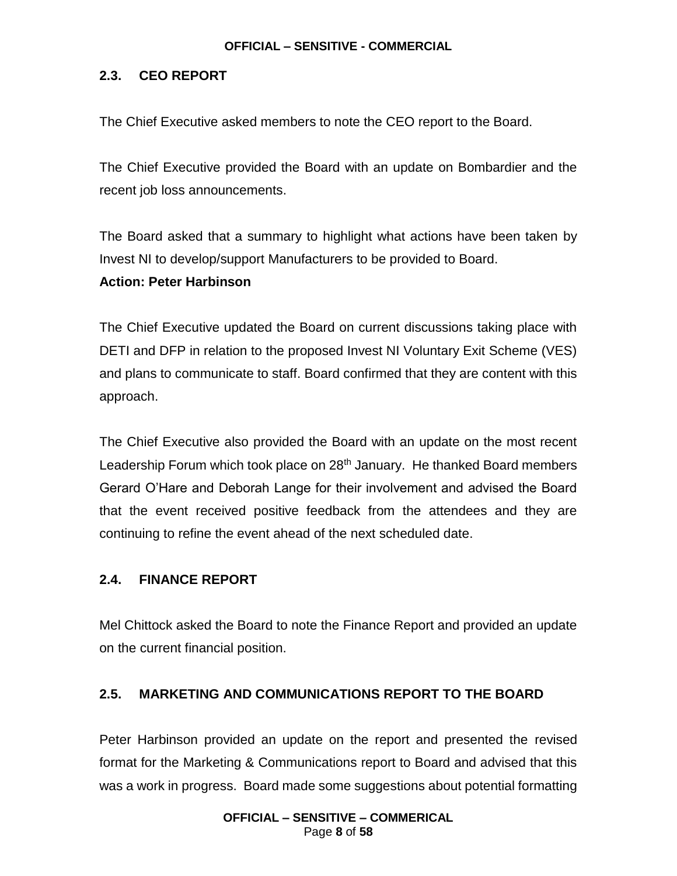### **2.3. CEO REPORT**

The Chief Executive asked members to note the CEO report to the Board.

The Chief Executive provided the Board with an update on Bombardier and the recent job loss announcements.

The Board asked that a summary to highlight what actions have been taken by Invest NI to develop/support Manufacturers to be provided to Board.

### **Action: Peter Harbinson**

The Chief Executive updated the Board on current discussions taking place with DETI and DFP in relation to the proposed Invest NI Voluntary Exit Scheme (VES) and plans to communicate to staff. Board confirmed that they are content with this approach.

The Chief Executive also provided the Board with an update on the most recent Leadership Forum which took place on 28<sup>th</sup> January. He thanked Board members Gerard O'Hare and Deborah Lange for their involvement and advised the Board that the event received positive feedback from the attendees and they are continuing to refine the event ahead of the next scheduled date.

### **2.4. FINANCE REPORT**

Mel Chittock asked the Board to note the Finance Report and provided an update on the current financial position.

### **2.5. MARKETING AND COMMUNICATIONS REPORT TO THE BOARD**

Peter Harbinson provided an update on the report and presented the revised format for the Marketing & Communications report to Board and advised that this was a work in progress. Board made some suggestions about potential formatting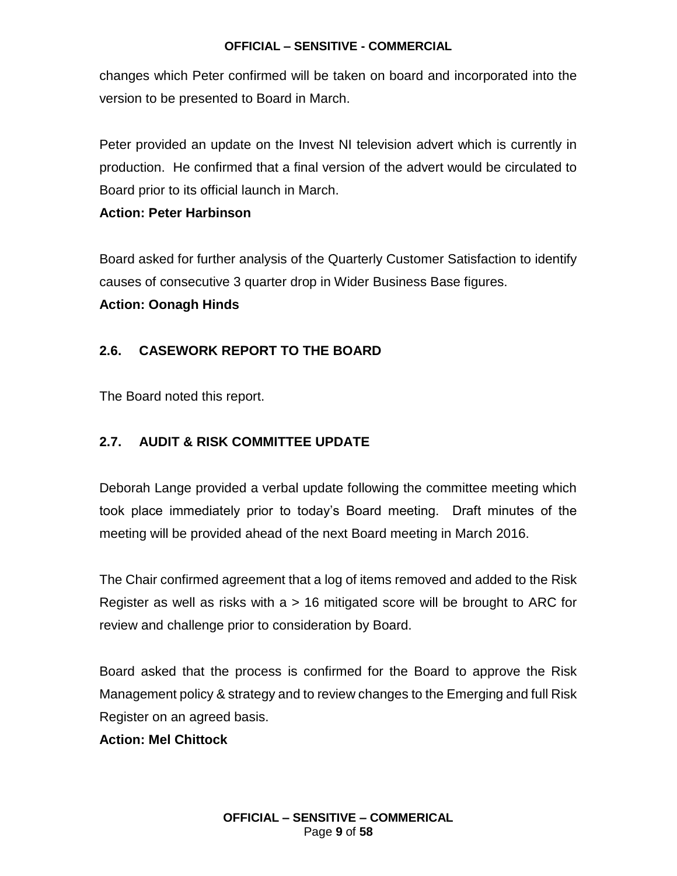changes which Peter confirmed will be taken on board and incorporated into the version to be presented to Board in March.

Peter provided an update on the Invest NI television advert which is currently in production. He confirmed that a final version of the advert would be circulated to Board prior to its official launch in March.

#### **Action: Peter Harbinson**

Board asked for further analysis of the Quarterly Customer Satisfaction to identify causes of consecutive 3 quarter drop in Wider Business Base figures. **Action: Oonagh Hinds**

### **2.6. CASEWORK REPORT TO THE BOARD**

The Board noted this report.

#### **2.7. AUDIT & RISK COMMITTEE UPDATE**

Deborah Lange provided a verbal update following the committee meeting which took place immediately prior to today's Board meeting. Draft minutes of the meeting will be provided ahead of the next Board meeting in March 2016.

The Chair confirmed agreement that a log of items removed and added to the Risk Register as well as risks with  $a > 16$  mitigated score will be brought to ARC for review and challenge prior to consideration by Board.

Board asked that the process is confirmed for the Board to approve the Risk Management policy & strategy and to review changes to the Emerging and full Risk Register on an agreed basis.

#### **Action: Mel Chittock**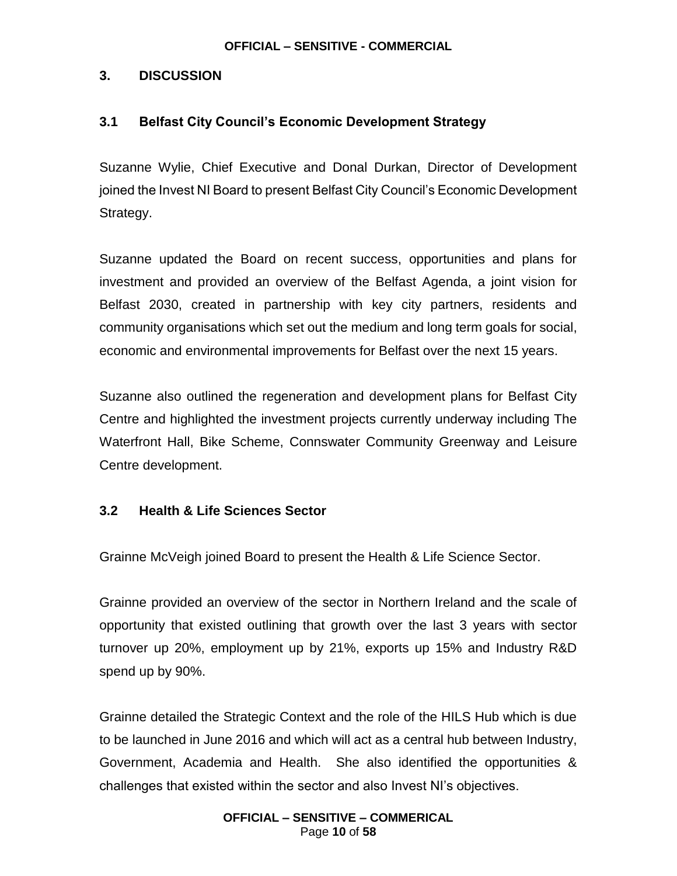### **3. DISCUSSION**

### **3.1 Belfast City Council's Economic Development Strategy**

Suzanne Wylie, Chief Executive and Donal Durkan, Director of Development joined the Invest NI Board to present Belfast City Council's Economic Development Strategy.

Suzanne updated the Board on recent success, opportunities and plans for investment and provided an overview of the Belfast Agenda, a joint vision for Belfast 2030, created in partnership with key city partners, residents and community organisations which set out the medium and long term goals for social, economic and environmental improvements for Belfast over the next 15 years.

Suzanne also outlined the regeneration and development plans for Belfast City Centre and highlighted the investment projects currently underway including The Waterfront Hall, Bike Scheme, Connswater Community Greenway and Leisure Centre development.

#### **3.2 Health & Life Sciences Sector**

Grainne McVeigh joined Board to present the Health & Life Science Sector.

Grainne provided an overview of the sector in Northern Ireland and the scale of opportunity that existed outlining that growth over the last 3 years with sector turnover up 20%, employment up by 21%, exports up 15% and Industry R&D spend up by 90%.

Grainne detailed the Strategic Context and the role of the HILS Hub which is due to be launched in June 2016 and which will act as a central hub between Industry, Government, Academia and Health. She also identified the opportunities & challenges that existed within the sector and also Invest NI's objectives.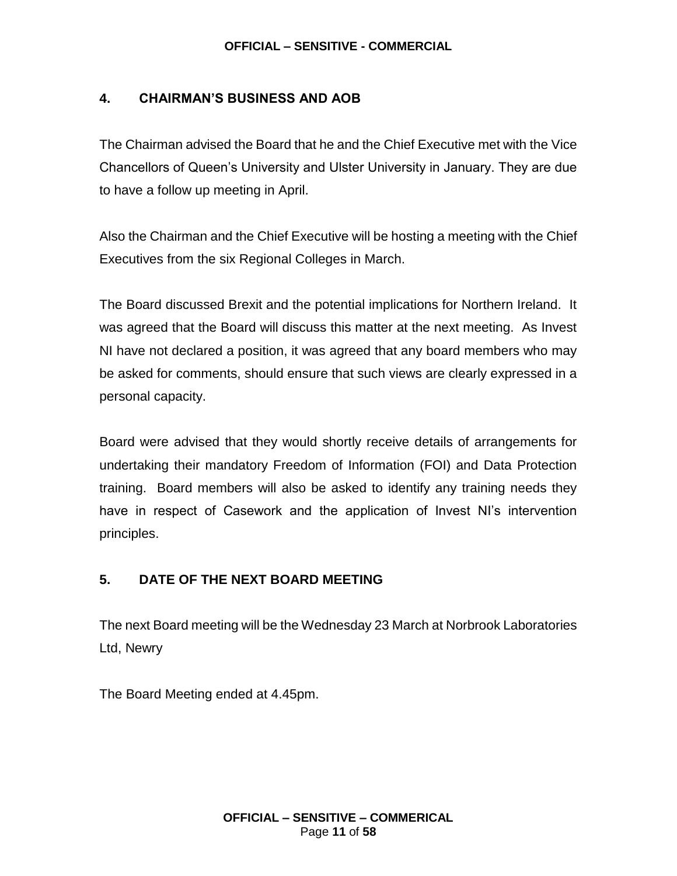### **4. CHAIRMAN'S BUSINESS AND AOB**

The Chairman advised the Board that he and the Chief Executive met with the Vice Chancellors of Queen's University and Ulster University in January. They are due to have a follow up meeting in April.

Also the Chairman and the Chief Executive will be hosting a meeting with the Chief Executives from the six Regional Colleges in March.

The Board discussed Brexit and the potential implications for Northern Ireland. It was agreed that the Board will discuss this matter at the next meeting. As Invest NI have not declared a position, it was agreed that any board members who may be asked for comments, should ensure that such views are clearly expressed in a personal capacity.

Board were advised that they would shortly receive details of arrangements for undertaking their mandatory Freedom of Information (FOI) and Data Protection training. Board members will also be asked to identify any training needs they have in respect of Casework and the application of Invest NI's intervention principles.

### **5. DATE OF THE NEXT BOARD MEETING**

The next Board meeting will be the Wednesday 23 March at Norbrook Laboratories Ltd, Newry

The Board Meeting ended at 4.45pm.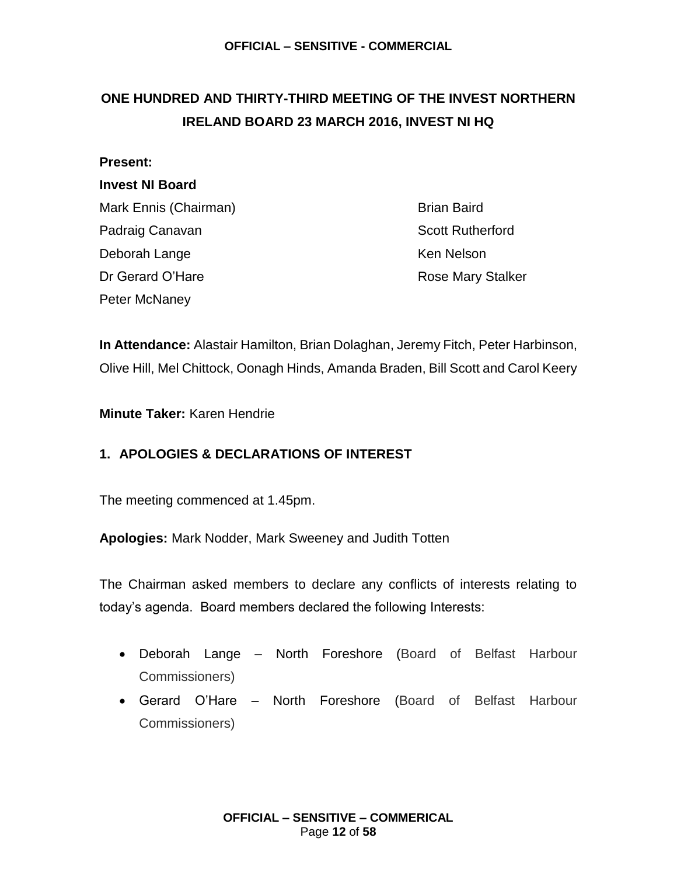## <span id="page-11-0"></span>**ONE HUNDRED AND THIRTY-THIRD MEETING OF THE INVEST NORTHERN IRELAND BOARD 23 MARCH 2016, INVEST NI HQ**

#### **Present:**

### **Invest NI Board**

Mark Ennis (Chairman) Brian Baird Padraig Canavan **Scott Rutherford** Deborah Lange Ken Nelson Dr Gerard O'Hare **Rose Mary Stalker** Rose Mary Stalker Peter McNaney

**In Attendance:** Alastair Hamilton, Brian Dolaghan, Jeremy Fitch, Peter Harbinson, Olive Hill, Mel Chittock, Oonagh Hinds, Amanda Braden, Bill Scott and Carol Keery

**Minute Taker:** Karen Hendrie

### **1. APOLOGIES & DECLARATIONS OF INTEREST**

The meeting commenced at 1.45pm.

**Apologies:** Mark Nodder, Mark Sweeney and Judith Totten

The Chairman asked members to declare any conflicts of interests relating to today's agenda. Board members declared the following Interests:

- Deborah Lange North Foreshore (Board of Belfast Harbour Commissioners)
- Gerard O'Hare North Foreshore (Board of Belfast Harbour Commissioners)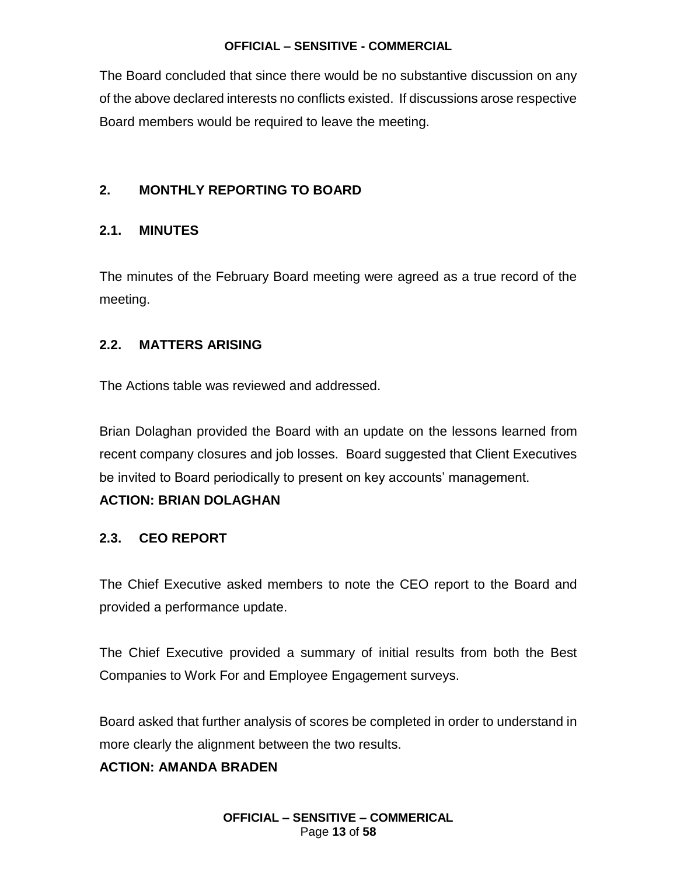The Board concluded that since there would be no substantive discussion on any of the above declared interests no conflicts existed. If discussions arose respective Board members would be required to leave the meeting.

### **2. MONTHLY REPORTING TO BOARD**

### **2.1. MINUTES**

The minutes of the February Board meeting were agreed as a true record of the meeting.

### **2.2. MATTERS ARISING**

The Actions table was reviewed and addressed.

Brian Dolaghan provided the Board with an update on the lessons learned from recent company closures and job losses. Board suggested that Client Executives be invited to Board periodically to present on key accounts' management.

#### **ACTION: BRIAN DOLAGHAN**

### **2.3. CEO REPORT**

The Chief Executive asked members to note the CEO report to the Board and provided a performance update.

The Chief Executive provided a summary of initial results from both the Best Companies to Work For and Employee Engagement surveys.

Board asked that further analysis of scores be completed in order to understand in more clearly the alignment between the two results.

#### **ACTION: AMANDA BRADEN**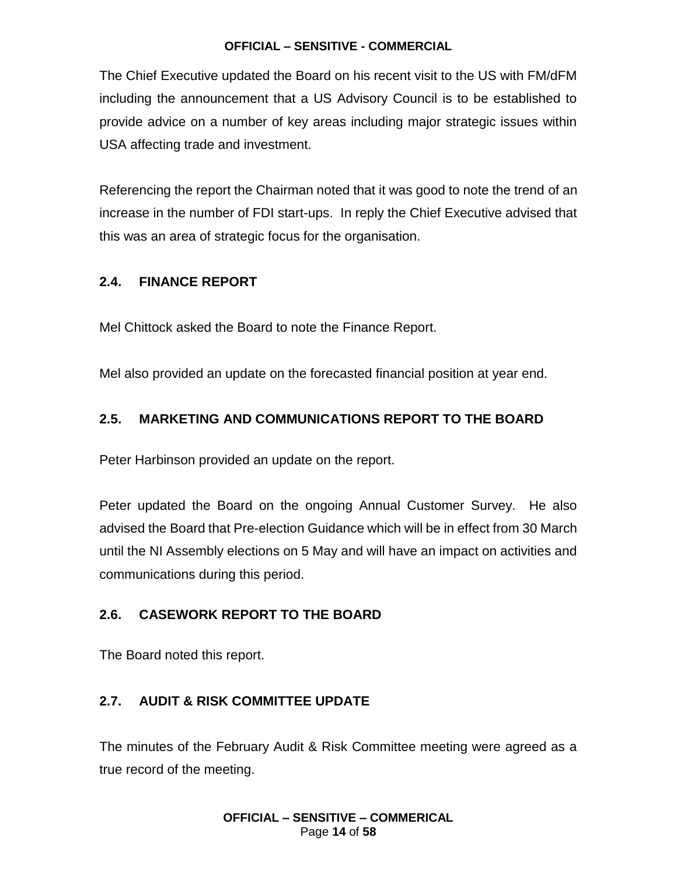The Chief Executive updated the Board on his recent visit to the US with FM/dFM including the announcement that a US Advisory Council is to be established to provide advice on a number of key areas including major strategic issues within USA affecting trade and investment.

Referencing the report the Chairman noted that it was good to note the trend of an increase in the number of FDI start-ups. In reply the Chief Executive advised that this was an area of strategic focus for the organisation.

### **2.4. FINANCE REPORT**

Mel Chittock asked the Board to note the Finance Report.

Mel also provided an update on the forecasted financial position at year end.

### **2.5. MARKETING AND COMMUNICATIONS REPORT TO THE BOARD**

Peter Harbinson provided an update on the report.

Peter updated the Board on the ongoing Annual Customer Survey. He also advised the Board that Pre-election Guidance which will be in effect from 30 March until the NI Assembly elections on 5 May and will have an impact on activities and communications during this period.

### **2.6. CASEWORK REPORT TO THE BOARD**

The Board noted this report.

### **2.7. AUDIT & RISK COMMITTEE UPDATE**

The minutes of the February Audit & Risk Committee meeting were agreed as a true record of the meeting.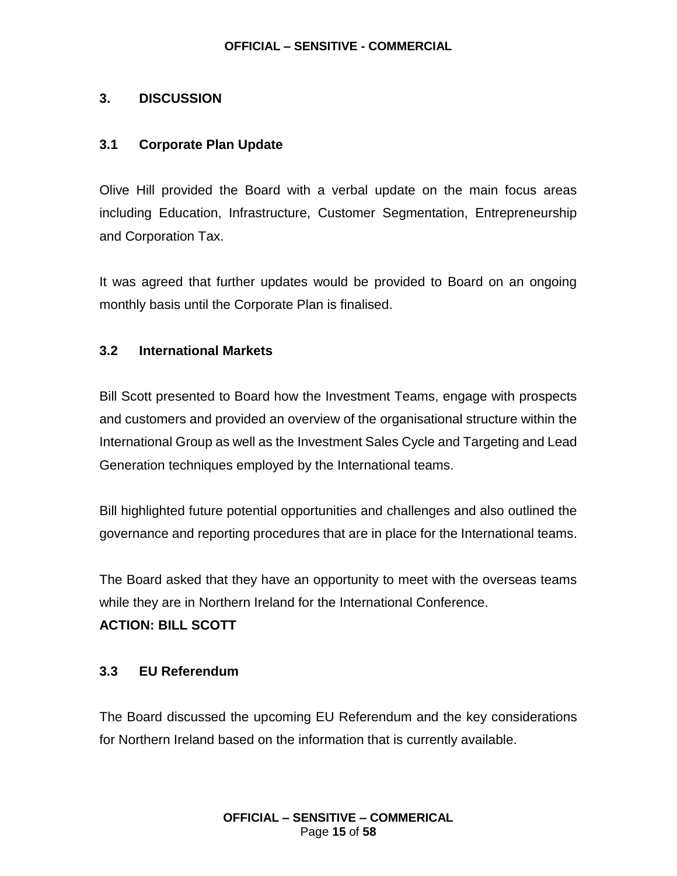### **3. DISCUSSION**

#### **3.1 Corporate Plan Update**

Olive Hill provided the Board with a verbal update on the main focus areas including Education, Infrastructure, Customer Segmentation, Entrepreneurship and Corporation Tax.

It was agreed that further updates would be provided to Board on an ongoing monthly basis until the Corporate Plan is finalised.

#### **3.2 International Markets**

Bill Scott presented to Board how the Investment Teams, engage with prospects and customers and provided an overview of the organisational structure within the International Group as well as the Investment Sales Cycle and Targeting and Lead Generation techniques employed by the International teams.

Bill highlighted future potential opportunities and challenges and also outlined the governance and reporting procedures that are in place for the International teams.

The Board asked that they have an opportunity to meet with the overseas teams while they are in Northern Ireland for the International Conference.

#### **ACTION: BILL SCOTT**

#### **3.3 EU Referendum**

The Board discussed the upcoming EU Referendum and the key considerations for Northern Ireland based on the information that is currently available.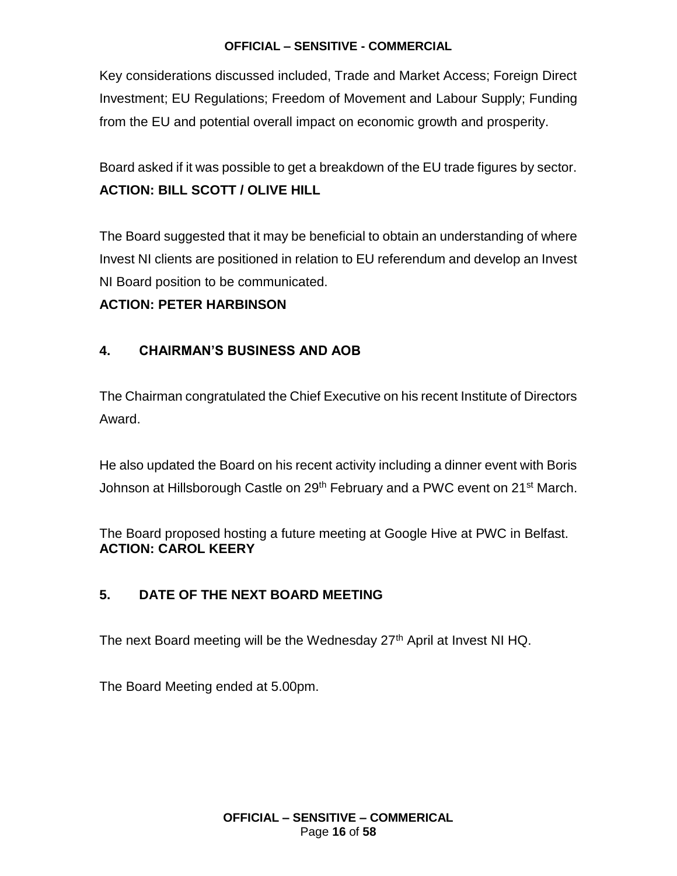Key considerations discussed included, Trade and Market Access; Foreign Direct Investment; EU Regulations; Freedom of Movement and Labour Supply; Funding from the EU and potential overall impact on economic growth and prosperity.

Board asked if it was possible to get a breakdown of the EU trade figures by sector. **ACTION: BILL SCOTT / OLIVE HILL**

The Board suggested that it may be beneficial to obtain an understanding of where Invest NI clients are positioned in relation to EU referendum and develop an Invest NI Board position to be communicated.

### **ACTION: PETER HARBINSON**

### **4. CHAIRMAN'S BUSINESS AND AOB**

The Chairman congratulated the Chief Executive on his recent Institute of Directors Award.

He also updated the Board on his recent activity including a dinner event with Boris Johnson at Hillsborough Castle on 29<sup>th</sup> February and a PWC event on 21<sup>st</sup> March.

The Board proposed hosting a future meeting at Google Hive at PWC in Belfast. **ACTION: CAROL KEERY**

### **5. DATE OF THE NEXT BOARD MEETING**

The next Board meeting will be the Wednesday 27<sup>th</sup> April at Invest NI HQ.

The Board Meeting ended at 5.00pm.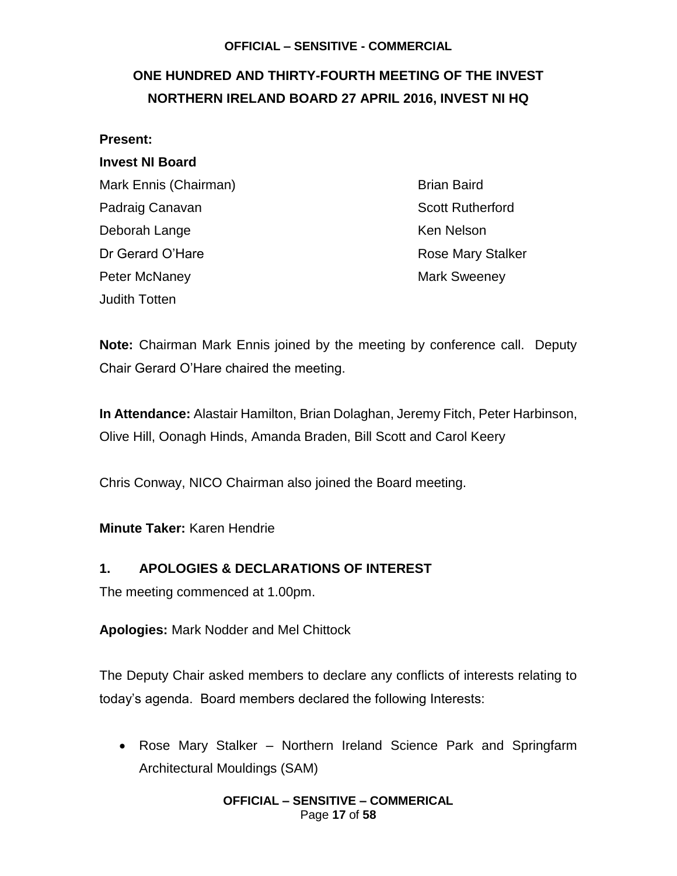## <span id="page-16-0"></span>**ONE HUNDRED AND THIRTY-FOURTH MEETING OF THE INVEST NORTHERN IRELAND BOARD 27 APRIL 2016, INVEST NI HQ**

#### **Present:**

### **Invest NI Board**

Mark Ennis (Chairman) Brian Baird Padraig Canavan **Scott Rutherford Padraig Canavan** Scott Rutherford Deborah Lange Ken Nelson Dr Gerard O'Hare **Rose Mary Stalker** Rose Mary Stalker Peter McNaney **Mark Sweeney** Mark Sweeney Judith Totten

**Note:** Chairman Mark Ennis joined by the meeting by conference call. Deputy Chair Gerard O'Hare chaired the meeting.

**In Attendance:** Alastair Hamilton, Brian Dolaghan, Jeremy Fitch, Peter Harbinson, Olive Hill, Oonagh Hinds, Amanda Braden, Bill Scott and Carol Keery

Chris Conway, NICO Chairman also joined the Board meeting.

#### **Minute Taker:** Karen Hendrie

### **1. APOLOGIES & DECLARATIONS OF INTEREST**

The meeting commenced at 1.00pm.

**Apologies:** Mark Nodder and Mel Chittock

The Deputy Chair asked members to declare any conflicts of interests relating to today's agenda. Board members declared the following Interests:

• Rose Mary Stalker – Northern Ireland Science Park and Springfarm Architectural Mouldings (SAM)

> **OFFICIAL – SENSITIVE – COMMERICAL** Page **17** of **58**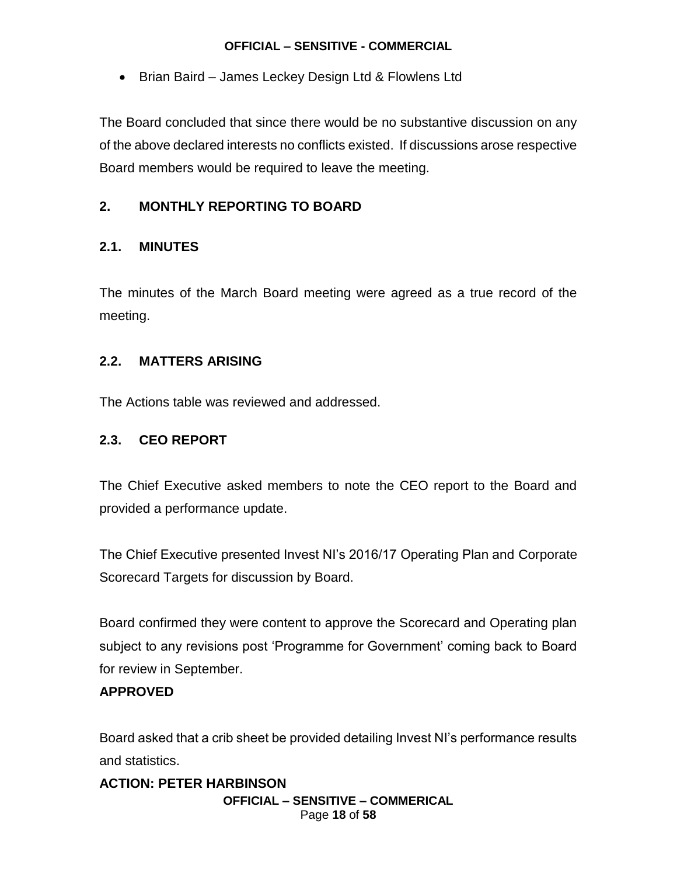• Brian Baird – James Leckey Design Ltd & Flowlens Ltd

The Board concluded that since there would be no substantive discussion on any of the above declared interests no conflicts existed. If discussions arose respective Board members would be required to leave the meeting.

### **2. MONTHLY REPORTING TO BOARD**

### **2.1. MINUTES**

The minutes of the March Board meeting were agreed as a true record of the meeting.

### **2.2. MATTERS ARISING**

The Actions table was reviewed and addressed.

### **2.3. CEO REPORT**

The Chief Executive asked members to note the CEO report to the Board and provided a performance update.

The Chief Executive presented Invest NI's 2016/17 Operating Plan and Corporate Scorecard Targets for discussion by Board.

Board confirmed they were content to approve the Scorecard and Operating plan subject to any revisions post 'Programme for Government' coming back to Board for review in September.

### **APPROVED**

Board asked that a crib sheet be provided detailing Invest NI's performance results and statistics.

**OFFICIAL – SENSITIVE – COMMERICAL** Page **18** of **58 ACTION: PETER HARBINSON**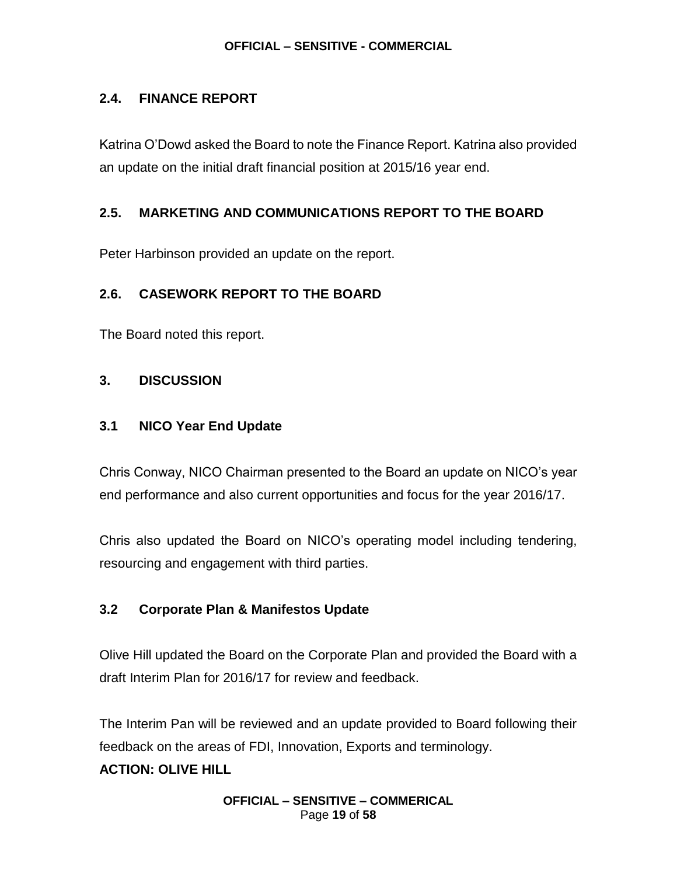### **2.4. FINANCE REPORT**

Katrina O'Dowd asked the Board to note the Finance Report. Katrina also provided an update on the initial draft financial position at 2015/16 year end.

### **2.5. MARKETING AND COMMUNICATIONS REPORT TO THE BOARD**

Peter Harbinson provided an update on the report.

### **2.6. CASEWORK REPORT TO THE BOARD**

The Board noted this report.

### **3. DISCUSSION**

### **3.1 NICO Year End Update**

Chris Conway, NICO Chairman presented to the Board an update on NICO's year end performance and also current opportunities and focus for the year 2016/17.

Chris also updated the Board on NICO's operating model including tendering, resourcing and engagement with third parties.

### **3.2 Corporate Plan & Manifestos Update**

Olive Hill updated the Board on the Corporate Plan and provided the Board with a draft Interim Plan for 2016/17 for review and feedback.

The Interim Pan will be reviewed and an update provided to Board following their feedback on the areas of FDI, Innovation, Exports and terminology.

### **ACTION: OLIVE HILL**

**OFFICIAL – SENSITIVE – COMMERICAL** Page **19** of **58**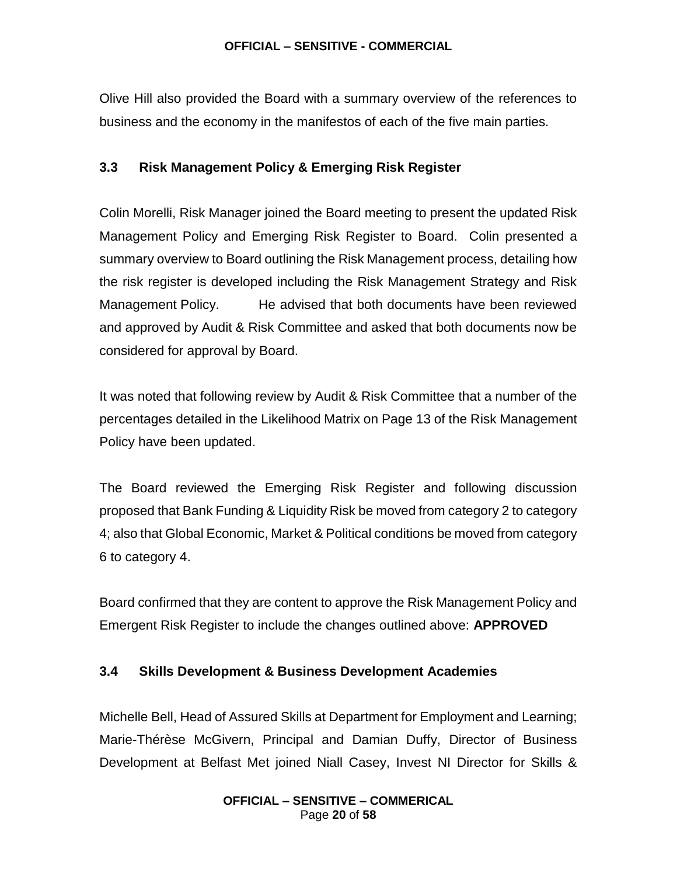Olive Hill also provided the Board with a summary overview of the references to business and the economy in the manifestos of each of the five main parties.

### **3.3 Risk Management Policy & Emerging Risk Register**

Colin Morelli, Risk Manager joined the Board meeting to present the updated Risk Management Policy and Emerging Risk Register to Board. Colin presented a summary overview to Board outlining the Risk Management process, detailing how the risk register is developed including the Risk Management Strategy and Risk Management Policy. He advised that both documents have been reviewed and approved by Audit & Risk Committee and asked that both documents now be considered for approval by Board.

It was noted that following review by Audit & Risk Committee that a number of the percentages detailed in the Likelihood Matrix on Page 13 of the Risk Management Policy have been updated.

The Board reviewed the Emerging Risk Register and following discussion proposed that Bank Funding & Liquidity Risk be moved from category 2 to category 4; also that Global Economic, Market & Political conditions be moved from category 6 to category 4.

Board confirmed that they are content to approve the Risk Management Policy and Emergent Risk Register to include the changes outlined above: **APPROVED**

#### **3.4 Skills Development & Business Development Academies**

Michelle Bell, Head of Assured Skills at Department for Employment and Learning; Marie-Thérèse McGivern, Principal and Damian Duffy, Director of Business Development at Belfast Met joined Niall Casey, Invest NI Director for Skills &

#### **OFFICIAL – SENSITIVE – COMMERICAL** Page **20** of **58**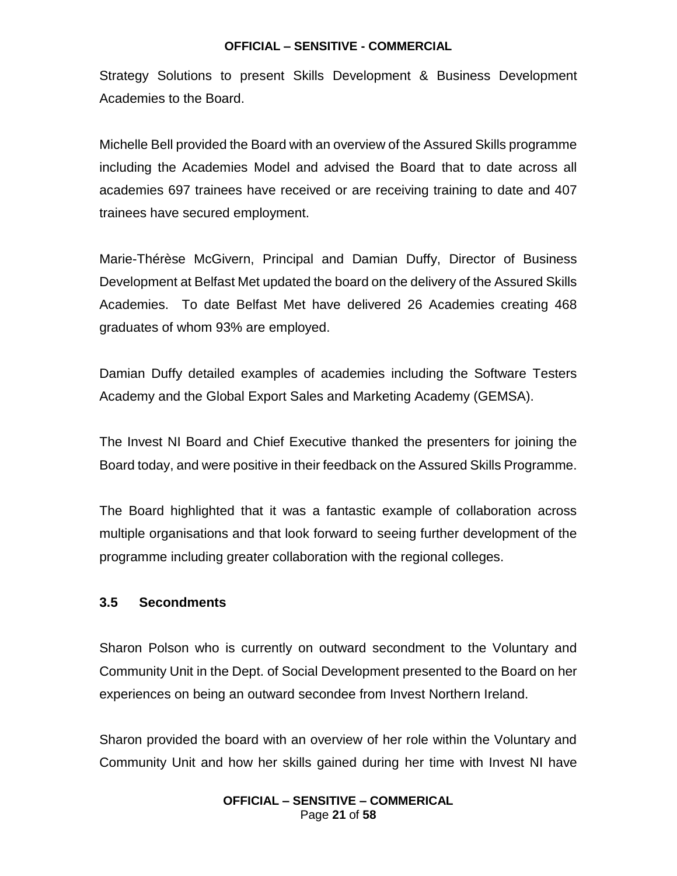Strategy Solutions to present Skills Development & Business Development Academies to the Board.

Michelle Bell provided the Board with an overview of the Assured Skills programme including the Academies Model and advised the Board that to date across all academies 697 trainees have received or are receiving training to date and 407 trainees have secured employment.

Marie-Thérèse McGivern, Principal and Damian Duffy, Director of Business Development at Belfast Met updated the board on the delivery of the Assured Skills Academies. To date Belfast Met have delivered 26 Academies creating 468 graduates of whom 93% are employed.

Damian Duffy detailed examples of academies including the Software Testers Academy and the Global Export Sales and Marketing Academy (GEMSA).

The Invest NI Board and Chief Executive thanked the presenters for joining the Board today, and were positive in their feedback on the Assured Skills Programme.

The Board highlighted that it was a fantastic example of collaboration across multiple organisations and that look forward to seeing further development of the programme including greater collaboration with the regional colleges.

#### **3.5 Secondments**

Sharon Polson who is currently on outward secondment to the Voluntary and Community Unit in the Dept. of Social Development presented to the Board on her experiences on being an outward secondee from Invest Northern Ireland.

Sharon provided the board with an overview of her role within the Voluntary and Community Unit and how her skills gained during her time with Invest NI have

#### **OFFICIAL – SENSITIVE – COMMERICAL** Page **21** of **58**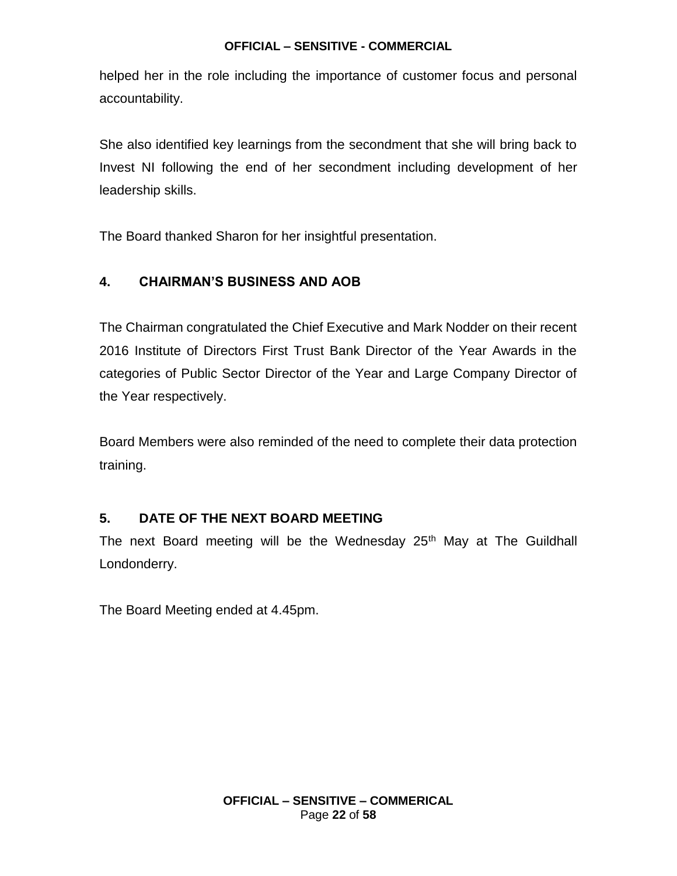helped her in the role including the importance of customer focus and personal accountability.

She also identified key learnings from the secondment that she will bring back to Invest NI following the end of her secondment including development of her leadership skills.

The Board thanked Sharon for her insightful presentation.

### **4. CHAIRMAN'S BUSINESS AND AOB**

The Chairman congratulated the Chief Executive and Mark Nodder on their recent 2016 Institute of Directors First Trust Bank Director of the Year Awards in the categories of Public Sector Director of the Year and Large Company Director of the Year respectively.

Board Members were also reminded of the need to complete their data protection training.

### **5. DATE OF THE NEXT BOARD MEETING**

The next Board meeting will be the Wednesday 25<sup>th</sup> May at The Guildhall Londonderry.

The Board Meeting ended at 4.45pm.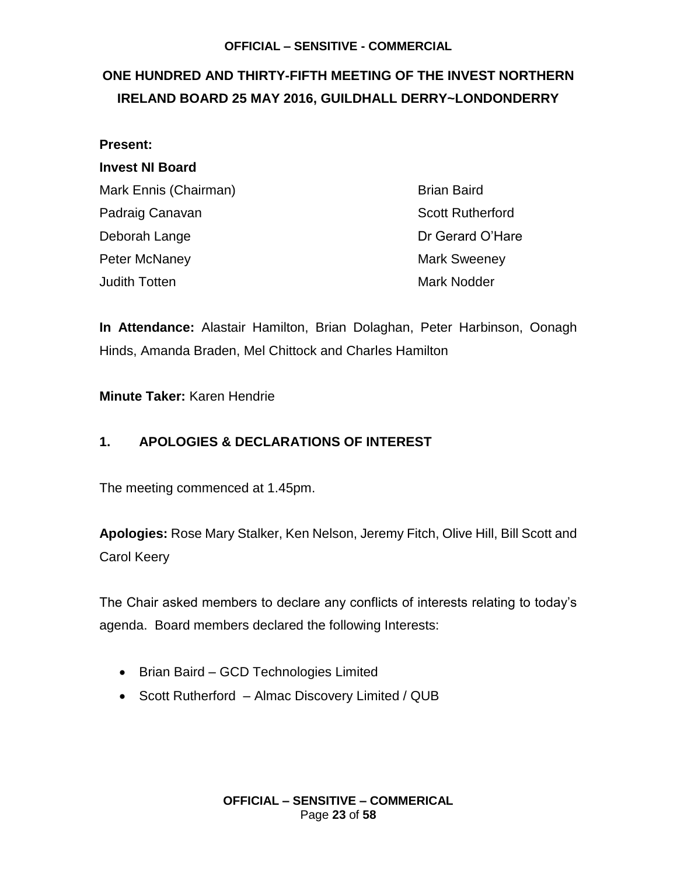## <span id="page-22-0"></span>**ONE HUNDRED AND THIRTY-FIFTH MEETING OF THE INVEST NORTHERN IRELAND BOARD 25 MAY 2016, GUILDHALL DERRY~LONDONDERRY**

| Present:               |                         |
|------------------------|-------------------------|
| <b>Invest NI Board</b> |                         |
| Mark Ennis (Chairman)  | <b>Brian Baird</b>      |
| Padraig Canavan        | <b>Scott Rutherford</b> |
| Deborah Lange          | Dr Gerard O'Hare        |
| Peter McNaney          | <b>Mark Sweeney</b>     |
| Judith Totten          | <b>Mark Nodder</b>      |
|                        |                         |

**In Attendance:** Alastair Hamilton, Brian Dolaghan, Peter Harbinson, Oonagh Hinds, Amanda Braden, Mel Chittock and Charles Hamilton

**Minute Taker:** Karen Hendrie

### **1. APOLOGIES & DECLARATIONS OF INTEREST**

The meeting commenced at 1.45pm.

**Apologies:** Rose Mary Stalker, Ken Nelson, Jeremy Fitch, Olive Hill, Bill Scott and Carol Keery

The Chair asked members to declare any conflicts of interests relating to today's agenda. Board members declared the following Interests:

- Brian Baird GCD Technologies Limited
- Scott Rutherford Almac Discovery Limited / QUB

**OFFICIAL – SENSITIVE – COMMERICAL** Page **23** of **58**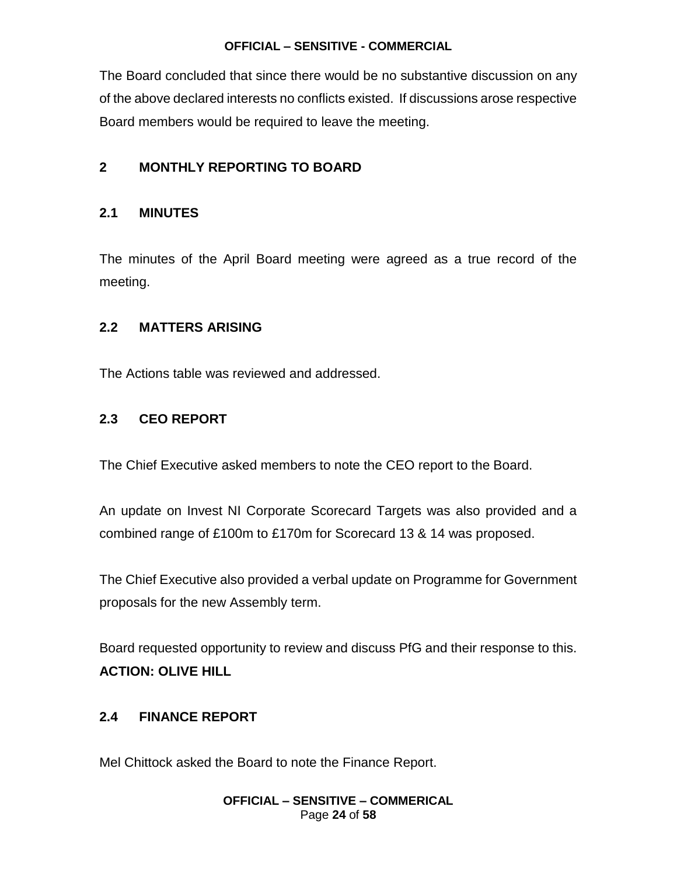The Board concluded that since there would be no substantive discussion on any of the above declared interests no conflicts existed. If discussions arose respective Board members would be required to leave the meeting.

### **2 MONTHLY REPORTING TO BOARD**

#### **2.1 MINUTES**

The minutes of the April Board meeting were agreed as a true record of the meeting.

#### **2.2 MATTERS ARISING**

The Actions table was reviewed and addressed.

#### **2.3 CEO REPORT**

The Chief Executive asked members to note the CEO report to the Board.

An update on Invest NI Corporate Scorecard Targets was also provided and a combined range of £100m to £170m for Scorecard 13 & 14 was proposed.

The Chief Executive also provided a verbal update on Programme for Government proposals for the new Assembly term.

Board requested opportunity to review and discuss PfG and their response to this. **ACTION: OLIVE HILL**

#### **2.4 FINANCE REPORT**

Mel Chittock asked the Board to note the Finance Report.

#### **OFFICIAL – SENSITIVE – COMMERICAL** Page **24** of **58**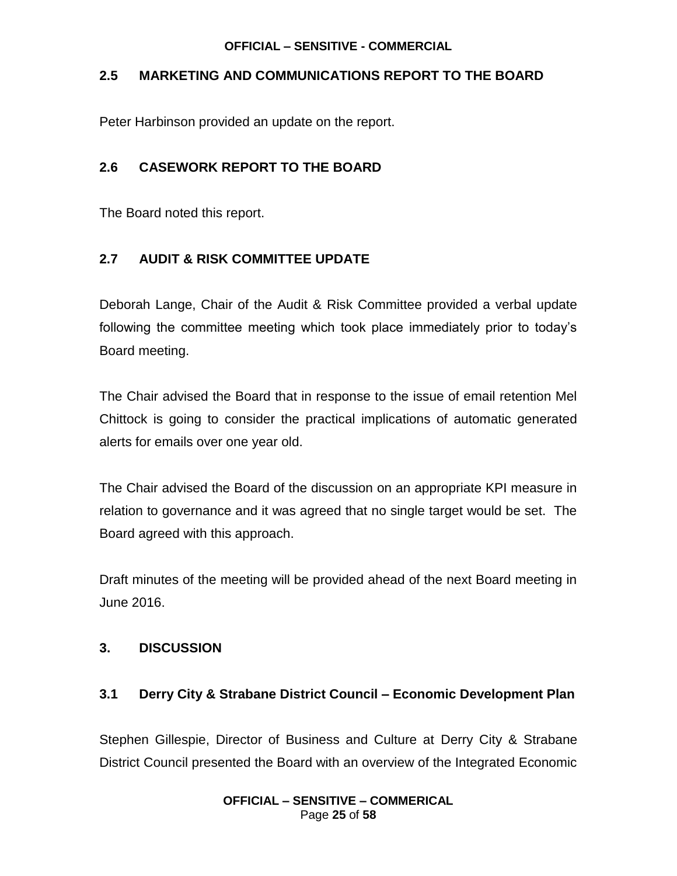### **2.5 MARKETING AND COMMUNICATIONS REPORT TO THE BOARD**

Peter Harbinson provided an update on the report.

### **2.6 CASEWORK REPORT TO THE BOARD**

The Board noted this report.

### **2.7 AUDIT & RISK COMMITTEE UPDATE**

Deborah Lange, Chair of the Audit & Risk Committee provided a verbal update following the committee meeting which took place immediately prior to today's Board meeting.

The Chair advised the Board that in response to the issue of email retention Mel Chittock is going to consider the practical implications of automatic generated alerts for emails over one year old.

The Chair advised the Board of the discussion on an appropriate KPI measure in relation to governance and it was agreed that no single target would be set. The Board agreed with this approach.

Draft minutes of the meeting will be provided ahead of the next Board meeting in June 2016.

### **3. DISCUSSION**

### **3.1 Derry City & Strabane District Council – Economic Development Plan**

Stephen Gillespie, Director of Business and Culture at Derry City & Strabane District Council presented the Board with an overview of the Integrated Economic

#### **OFFICIAL – SENSITIVE – COMMERICAL** Page **25** of **58**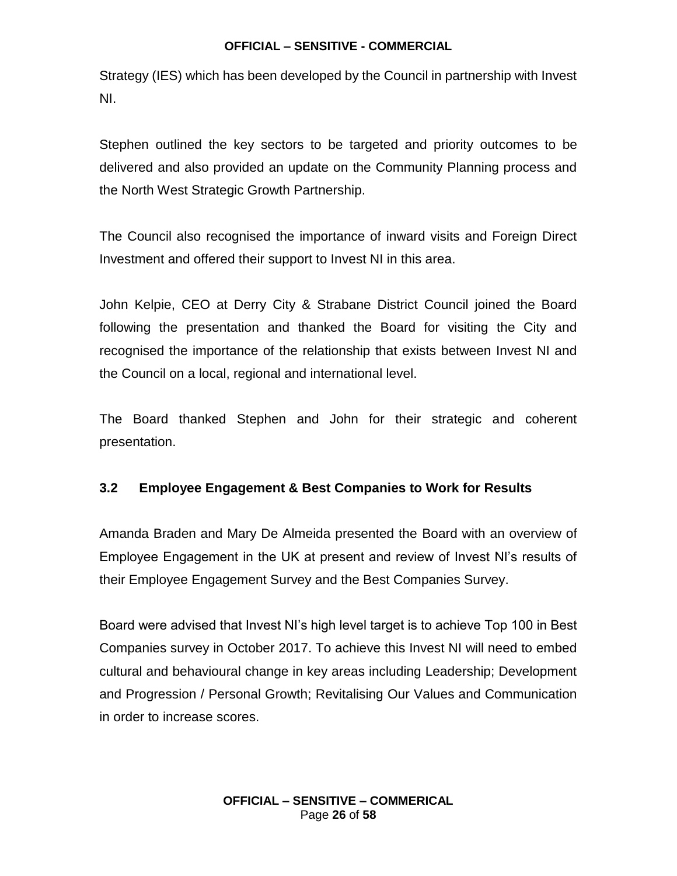Strategy (IES) which has been developed by the Council in partnership with Invest NI.

Stephen outlined the key sectors to be targeted and priority outcomes to be delivered and also provided an update on the Community Planning process and the North West Strategic Growth Partnership.

The Council also recognised the importance of inward visits and Foreign Direct Investment and offered their support to Invest NI in this area.

John Kelpie, CEO at Derry City & Strabane District Council joined the Board following the presentation and thanked the Board for visiting the City and recognised the importance of the relationship that exists between Invest NI and the Council on a local, regional and international level.

The Board thanked Stephen and John for their strategic and coherent presentation.

### **3.2 Employee Engagement & Best Companies to Work for Results**

Amanda Braden and Mary De Almeida presented the Board with an overview of Employee Engagement in the UK at present and review of Invest NI's results of their Employee Engagement Survey and the Best Companies Survey.

Board were advised that Invest NI's high level target is to achieve Top 100 in Best Companies survey in October 2017. To achieve this Invest NI will need to embed cultural and behavioural change in key areas including Leadership; Development and Progression / Personal Growth; Revitalising Our Values and Communication in order to increase scores.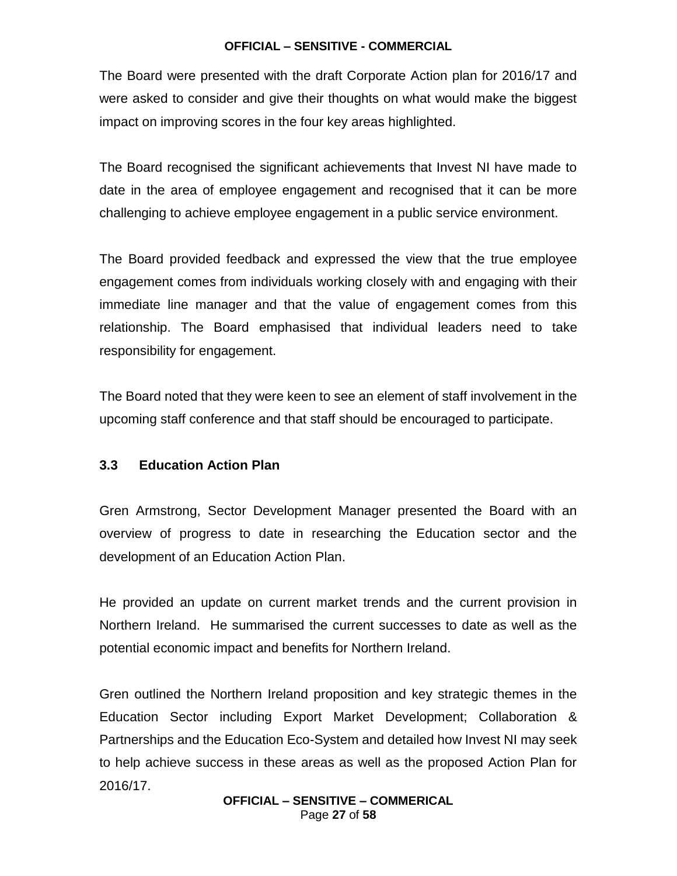The Board were presented with the draft Corporate Action plan for 2016/17 and were asked to consider and give their thoughts on what would make the biggest impact on improving scores in the four key areas highlighted.

The Board recognised the significant achievements that Invest NI have made to date in the area of employee engagement and recognised that it can be more challenging to achieve employee engagement in a public service environment.

The Board provided feedback and expressed the view that the true employee engagement comes from individuals working closely with and engaging with their immediate line manager and that the value of engagement comes from this relationship. The Board emphasised that individual leaders need to take responsibility for engagement.

The Board noted that they were keen to see an element of staff involvement in the upcoming staff conference and that staff should be encouraged to participate.

#### **3.3 Education Action Plan**

Gren Armstrong, Sector Development Manager presented the Board with an overview of progress to date in researching the Education sector and the development of an Education Action Plan.

He provided an update on current market trends and the current provision in Northern Ireland. He summarised the current successes to date as well as the potential economic impact and benefits for Northern Ireland.

Gren outlined the Northern Ireland proposition and key strategic themes in the Education Sector including Export Market Development; Collaboration & Partnerships and the Education Eco-System and detailed how Invest NI may seek to help achieve success in these areas as well as the proposed Action Plan for 2016/17.

**OFFICIAL – SENSITIVE – COMMERICAL** Page **27** of **58**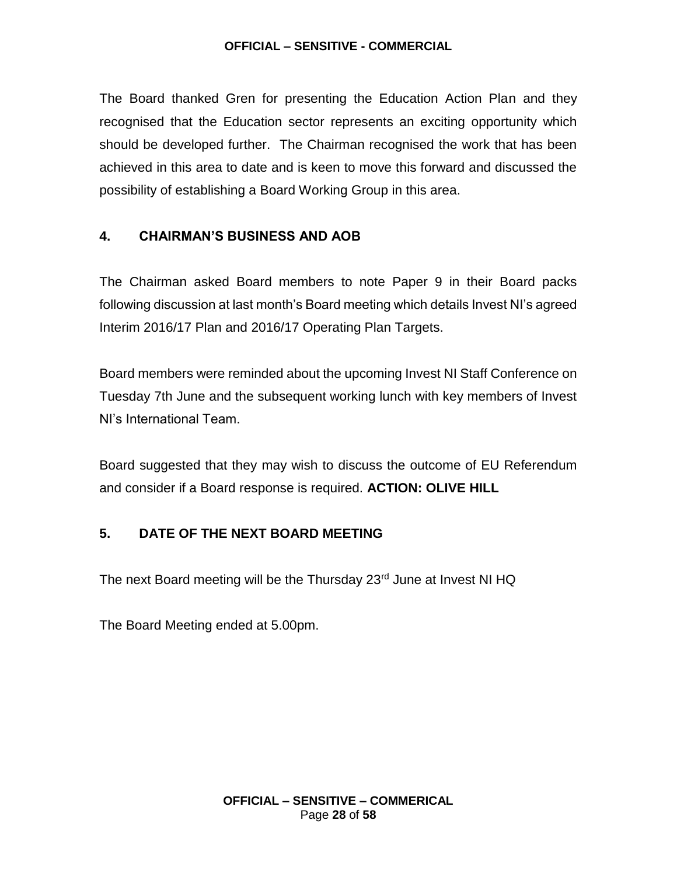The Board thanked Gren for presenting the Education Action Plan and they recognised that the Education sector represents an exciting opportunity which should be developed further. The Chairman recognised the work that has been achieved in this area to date and is keen to move this forward and discussed the possibility of establishing a Board Working Group in this area.

### **4. CHAIRMAN'S BUSINESS AND AOB**

The Chairman asked Board members to note Paper 9 in their Board packs following discussion at last month's Board meeting which details Invest NI's agreed Interim 2016/17 Plan and 2016/17 Operating Plan Targets.

Board members were reminded about the upcoming Invest NI Staff Conference on Tuesday 7th June and the subsequent working lunch with key members of Invest NI's International Team.

Board suggested that they may wish to discuss the outcome of EU Referendum and consider if a Board response is required. **ACTION: OLIVE HILL**

### **5. DATE OF THE NEXT BOARD MEETING**

The next Board meeting will be the Thursday 23<sup>rd</sup> June at Invest NI HQ

The Board Meeting ended at 5.00pm.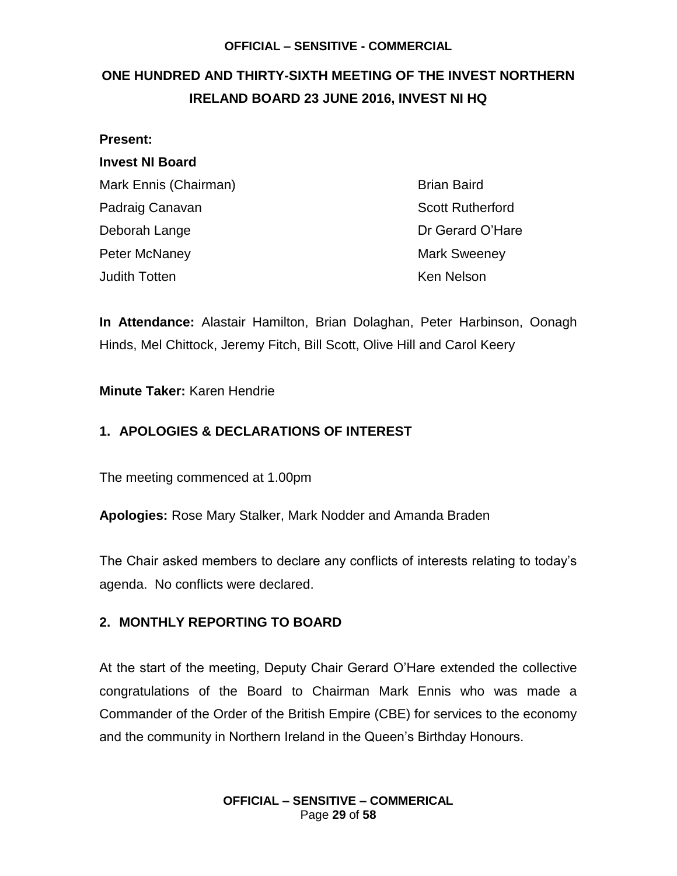## <span id="page-28-0"></span>**ONE HUNDRED AND THIRTY-SIXTH MEETING OF THE INVEST NORTHERN IRELAND BOARD 23 JUNE 2016, INVEST NI HQ**

# **Present: Invest NI Board** Mark Ennis (Chairman) Brian Baird Padraig Canavan **Scott Rutherford Padraig Canavan** Scott Rutherford Deborah Lange Deborah Lange Dr Gerard O'Hare Peter McNaney **Mark Sweeney** Mark Sweeney Judith Totten Ken Nelson

**In Attendance:** Alastair Hamilton, Brian Dolaghan, Peter Harbinson, Oonagh Hinds, Mel Chittock, Jeremy Fitch, Bill Scott, Olive Hill and Carol Keery

### **Minute Taker:** Karen Hendrie

### **1. APOLOGIES & DECLARATIONS OF INTEREST**

The meeting commenced at 1.00pm

**Apologies:** Rose Mary Stalker, Mark Nodder and Amanda Braden

The Chair asked members to declare any conflicts of interests relating to today's agenda. No conflicts were declared.

### **2. MONTHLY REPORTING TO BOARD**

At the start of the meeting, Deputy Chair Gerard O'Hare extended the collective congratulations of the Board to Chairman Mark Ennis who was made a Commander of the Order of the British Empire (CBE) for services to the economy and the community in Northern Ireland in the Queen's Birthday Honours.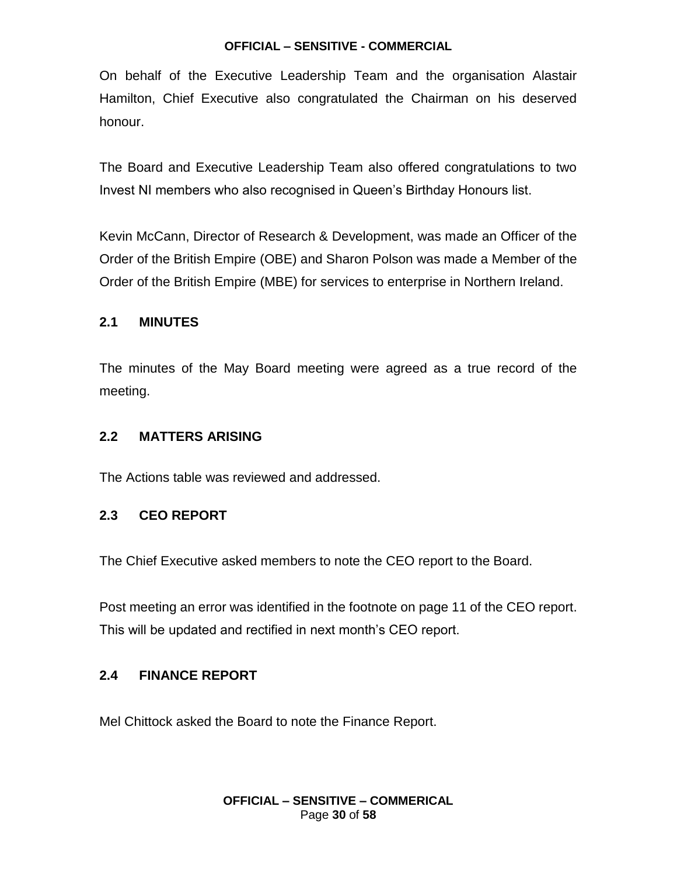On behalf of the Executive Leadership Team and the organisation Alastair Hamilton, Chief Executive also congratulated the Chairman on his deserved honour.

The Board and Executive Leadership Team also offered congratulations to two Invest NI members who also recognised in Queen's Birthday Honours list.

Kevin McCann, Director of Research & Development, was made an Officer of the Order of the British Empire (OBE) and Sharon Polson was made a Member of the Order of the British Empire (MBE) for services to enterprise in Northern Ireland.

#### **2.1 MINUTES**

The minutes of the May Board meeting were agreed as a true record of the meeting.

#### **2.2 MATTERS ARISING**

The Actions table was reviewed and addressed.

#### **2.3 CEO REPORT**

The Chief Executive asked members to note the CEO report to the Board.

Post meeting an error was identified in the footnote on page 11 of the CEO report. This will be updated and rectified in next month's CEO report.

#### **2.4 FINANCE REPORT**

Mel Chittock asked the Board to note the Finance Report.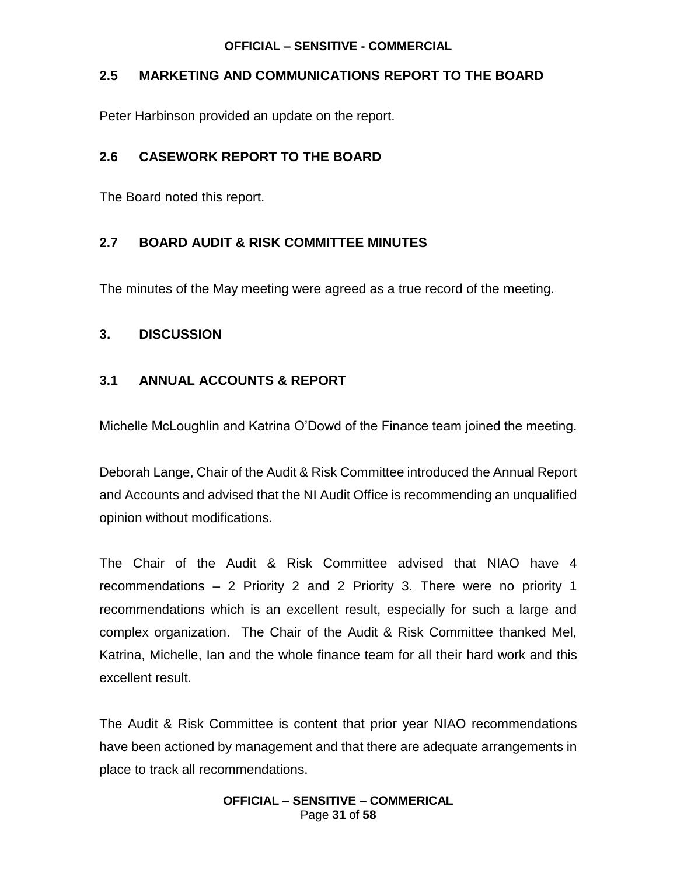### **2.5 MARKETING AND COMMUNICATIONS REPORT TO THE BOARD**

Peter Harbinson provided an update on the report.

### **2.6 CASEWORK REPORT TO THE BOARD**

The Board noted this report.

### **2.7 BOARD AUDIT & RISK COMMITTEE MINUTES**

The minutes of the May meeting were agreed as a true record of the meeting.

### **3. DISCUSSION**

### **3.1 ANNUAL ACCOUNTS & REPORT**

Michelle McLoughlin and Katrina O'Dowd of the Finance team joined the meeting.

Deborah Lange, Chair of the Audit & Risk Committee introduced the Annual Report and Accounts and advised that the NI Audit Office is recommending an unqualified opinion without modifications.

The Chair of the Audit & Risk Committee advised that NIAO have 4 recommendations – 2 Priority 2 and 2 Priority 3. There were no priority 1 recommendations which is an excellent result, especially for such a large and complex organization. The Chair of the Audit & Risk Committee thanked Mel, Katrina, Michelle, Ian and the whole finance team for all their hard work and this excellent result.

The Audit & Risk Committee is content that prior year NIAO recommendations have been actioned by management and that there are adequate arrangements in place to track all recommendations.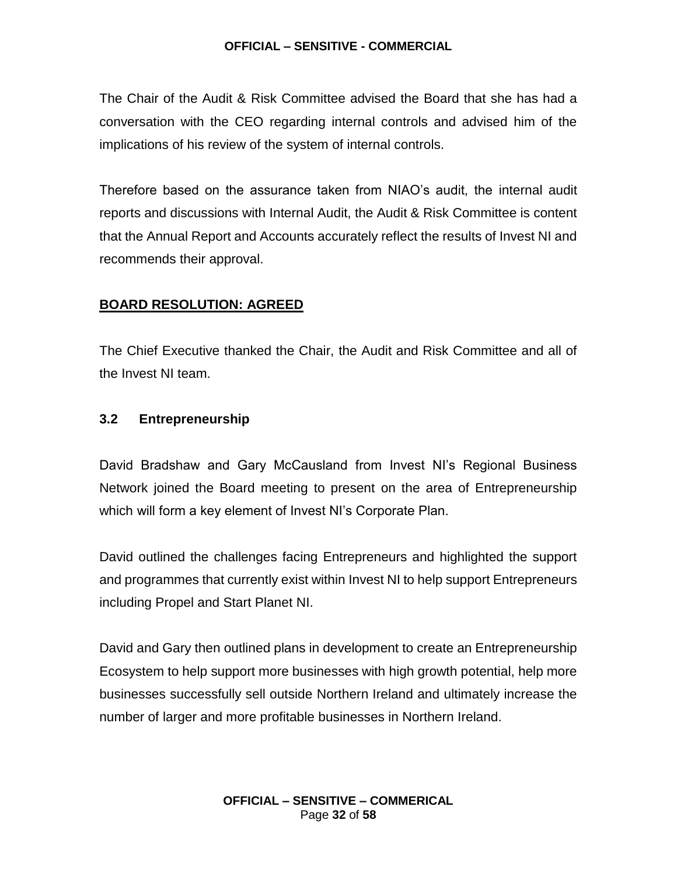The Chair of the Audit & Risk Committee advised the Board that she has had a conversation with the CEO regarding internal controls and advised him of the implications of his review of the system of internal controls.

Therefore based on the assurance taken from NIAO's audit, the internal audit reports and discussions with Internal Audit, the Audit & Risk Committee is content that the Annual Report and Accounts accurately reflect the results of Invest NI and recommends their approval.

### **BOARD RESOLUTION: AGREED**

The Chief Executive thanked the Chair, the Audit and Risk Committee and all of the Invest NI team.

#### **3.2 Entrepreneurship**

David Bradshaw and Gary McCausland from Invest NI's Regional Business Network joined the Board meeting to present on the area of Entrepreneurship which will form a key element of Invest NI's Corporate Plan.

David outlined the challenges facing Entrepreneurs and highlighted the support and programmes that currently exist within Invest NI to help support Entrepreneurs including Propel and Start Planet NI.

David and Gary then outlined plans in development to create an Entrepreneurship Ecosystem to help support more businesses with high growth potential, help more businesses successfully sell outside Northern Ireland and ultimately increase the number of larger and more profitable businesses in Northern Ireland.

> **OFFICIAL – SENSITIVE – COMMERICAL** Page **32** of **58**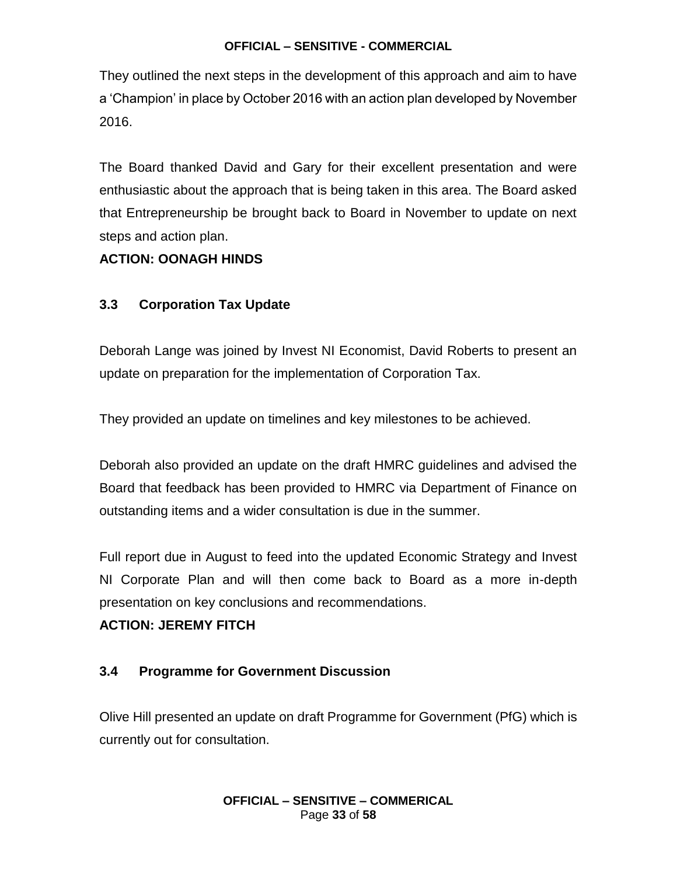They outlined the next steps in the development of this approach and aim to have a 'Champion' in place by October 2016 with an action plan developed by November 2016.

The Board thanked David and Gary for their excellent presentation and were enthusiastic about the approach that is being taken in this area. The Board asked that Entrepreneurship be brought back to Board in November to update on next steps and action plan.

#### **ACTION: OONAGH HINDS**

#### **3.3 Corporation Tax Update**

Deborah Lange was joined by Invest NI Economist, David Roberts to present an update on preparation for the implementation of Corporation Tax.

They provided an update on timelines and key milestones to be achieved.

Deborah also provided an update on the draft HMRC guidelines and advised the Board that feedback has been provided to HMRC via Department of Finance on outstanding items and a wider consultation is due in the summer.

Full report due in August to feed into the updated Economic Strategy and Invest NI Corporate Plan and will then come back to Board as a more in-depth presentation on key conclusions and recommendations.

#### **ACTION: JEREMY FITCH**

#### **3.4 Programme for Government Discussion**

Olive Hill presented an update on draft Programme for Government (PfG) which is currently out for consultation.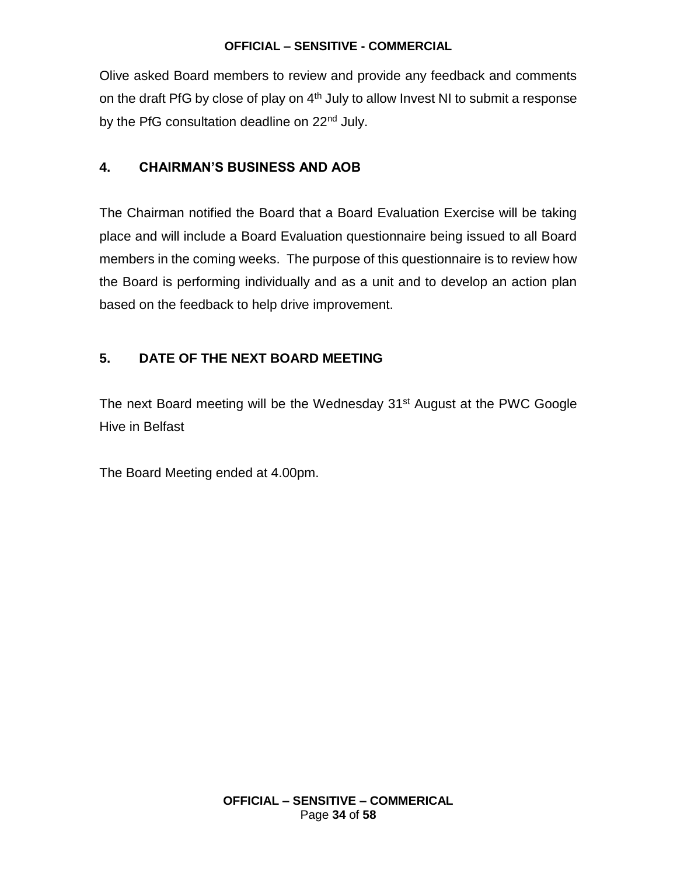Olive asked Board members to review and provide any feedback and comments on the draft PfG by close of play on  $4<sup>th</sup>$  July to allow Invest NI to submit a response by the PfG consultation deadline on 22<sup>nd</sup> July.

### **4. CHAIRMAN'S BUSINESS AND AOB**

The Chairman notified the Board that a Board Evaluation Exercise will be taking place and will include a Board Evaluation questionnaire being issued to all Board members in the coming weeks. The purpose of this questionnaire is to review how the Board is performing individually and as a unit and to develop an action plan based on the feedback to help drive improvement.

### **5. DATE OF THE NEXT BOARD MEETING**

The next Board meeting will be the Wednesday 31<sup>st</sup> August at the PWC Google Hive in Belfast

The Board Meeting ended at 4.00pm.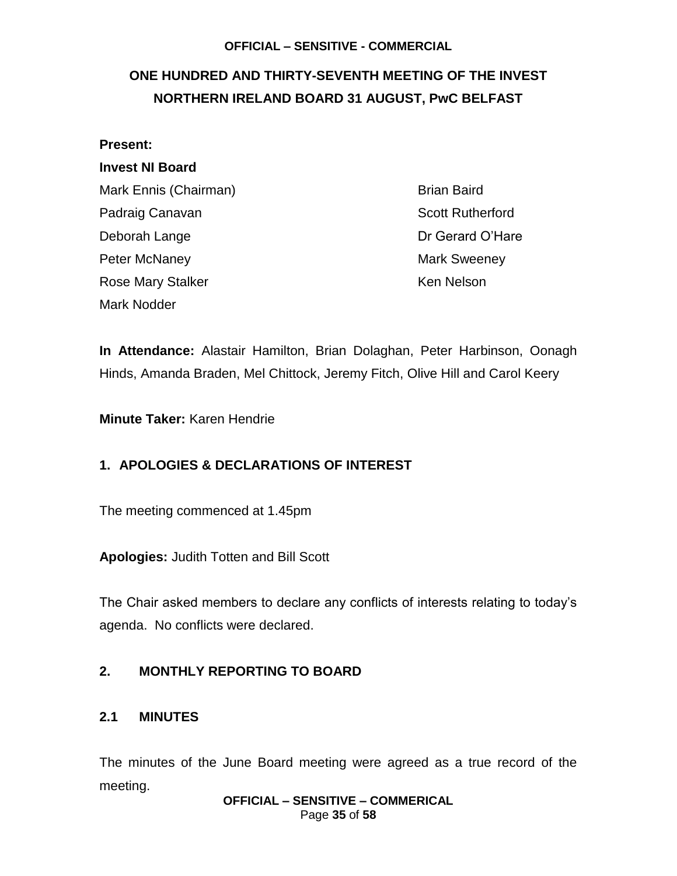## <span id="page-34-0"></span>**ONE HUNDRED AND THIRTY-SEVENTH MEETING OF THE INVEST NORTHERN IRELAND BOARD 31 AUGUST, PwC BELFAST**

| <b>Present:</b>          |  |
|--------------------------|--|
| <b>Invest NI Board</b>   |  |
| Mark Ennis (Chairman)    |  |
| Padraig Canavan          |  |
| Deborah Lange            |  |
| Peter McNaney            |  |
| <b>Rose Mary Stalker</b> |  |
| Mark Nodder              |  |

Brian Baird **Scott Rutherford** Dr Gerard O'Hare Mark Sweeney Ken Nelson

**In Attendance:** Alastair Hamilton, Brian Dolaghan, Peter Harbinson, Oonagh Hinds, Amanda Braden, Mel Chittock, Jeremy Fitch, Olive Hill and Carol Keery

**Minute Taker:** Karen Hendrie

### **1. APOLOGIES & DECLARATIONS OF INTEREST**

The meeting commenced at 1.45pm

**Apologies:** Judith Totten and Bill Scott

The Chair asked members to declare any conflicts of interests relating to today's agenda. No conflicts were declared.

### **2. MONTHLY REPORTING TO BOARD**

#### **2.1 MINUTES**

The minutes of the June Board meeting were agreed as a true record of the meeting.

**OFFICIAL – SENSITIVE – COMMERICAL** Page **35** of **58**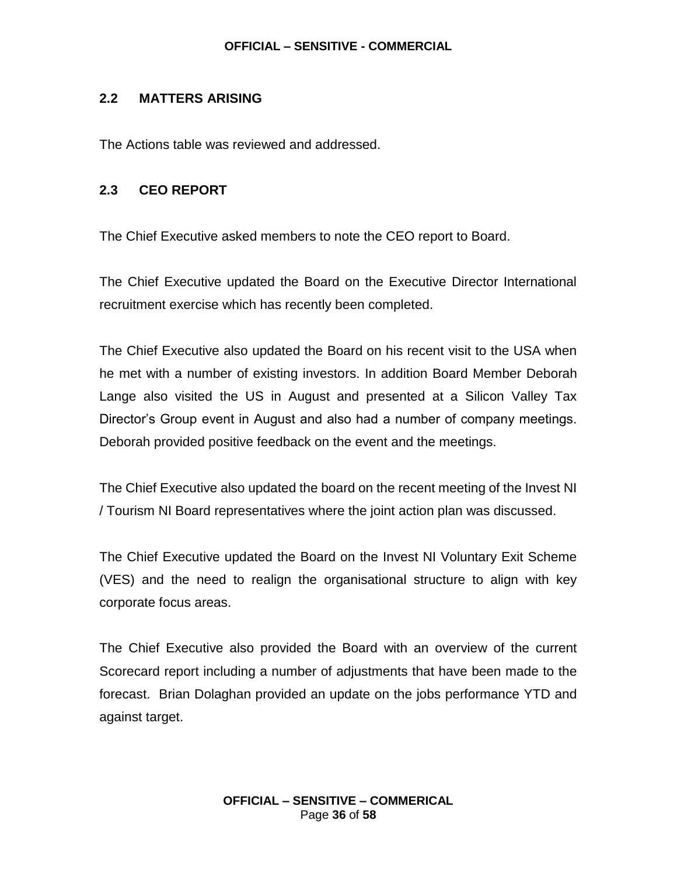### **2.2 MATTERS ARISING**

The Actions table was reviewed and addressed.

#### **2.3 CEO REPORT**

The Chief Executive asked members to note the CEO report to Board.

The Chief Executive updated the Board on the Executive Director International recruitment exercise which has recently been completed.

The Chief Executive also updated the Board on his recent visit to the USA when he met with a number of existing investors. In addition Board Member Deborah Lange also visited the US in August and presented at a Silicon Valley Tax Director's Group event in August and also had a number of company meetings. Deborah provided positive feedback on the event and the meetings.

The Chief Executive also updated the board on the recent meeting of the Invest NI / Tourism NI Board representatives where the joint action plan was discussed.

The Chief Executive updated the Board on the Invest NI Voluntary Exit Scheme (VES) and the need to realign the organisational structure to align with key corporate focus areas.

The Chief Executive also provided the Board with an overview of the current Scorecard report including a number of adjustments that have been made to the forecast. Brian Dolaghan provided an update on the jobs performance YTD and against target.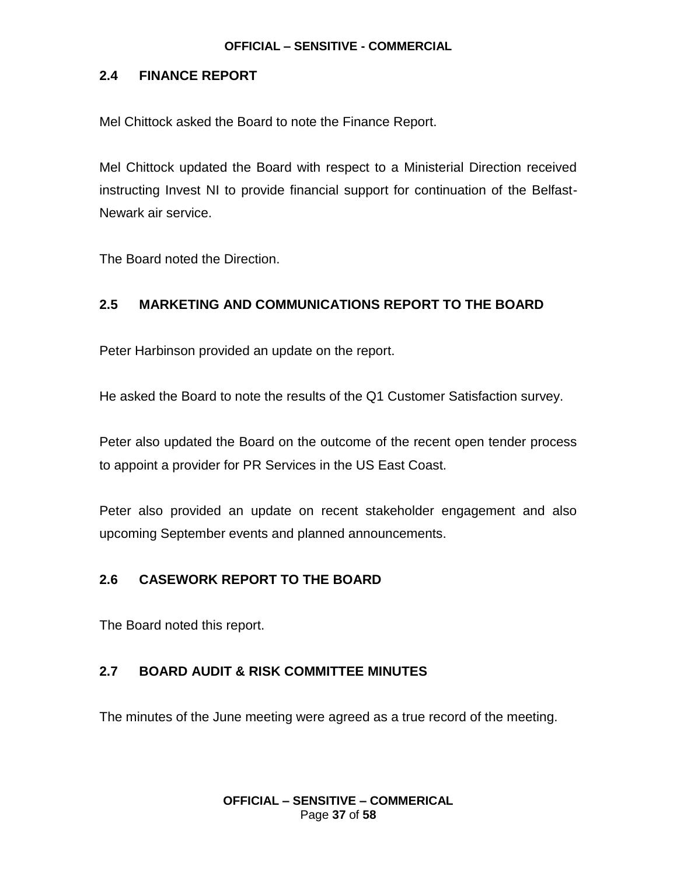### **2.4 FINANCE REPORT**

Mel Chittock asked the Board to note the Finance Report.

Mel Chittock updated the Board with respect to a Ministerial Direction received instructing Invest NI to provide financial support for continuation of the Belfast-Newark air service.

The Board noted the Direction.

### **2.5 MARKETING AND COMMUNICATIONS REPORT TO THE BOARD**

Peter Harbinson provided an update on the report.

He asked the Board to note the results of the Q1 Customer Satisfaction survey.

Peter also updated the Board on the outcome of the recent open tender process to appoint a provider for PR Services in the US East Coast.

Peter also provided an update on recent stakeholder engagement and also upcoming September events and planned announcements.

### **2.6 CASEWORK REPORT TO THE BOARD**

The Board noted this report.

#### **2.7 BOARD AUDIT & RISK COMMITTEE MINUTES**

The minutes of the June meeting were agreed as a true record of the meeting.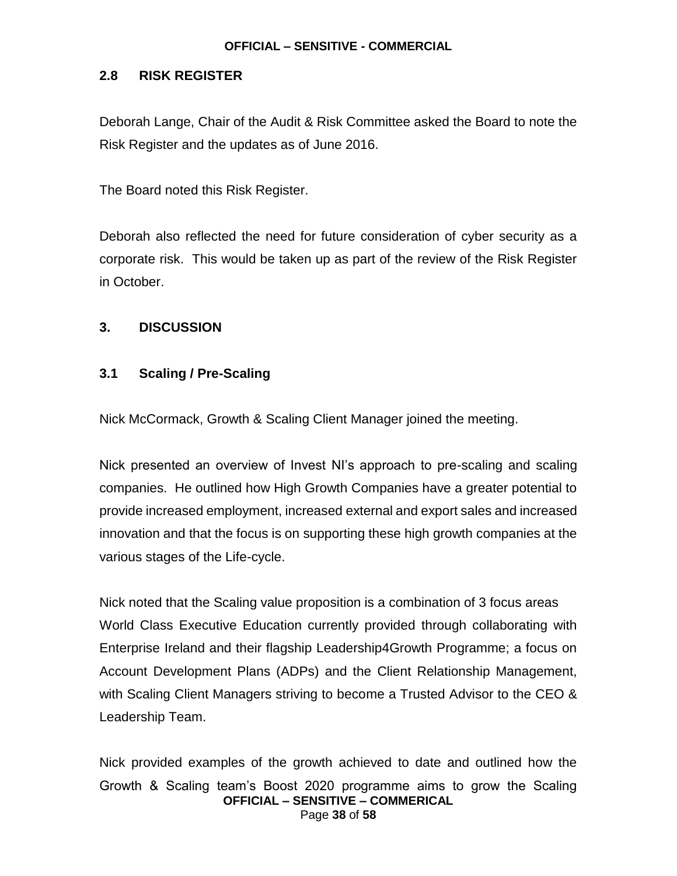### **2.8 RISK REGISTER**

Deborah Lange, Chair of the Audit & Risk Committee asked the Board to note the Risk Register and the updates as of June 2016.

The Board noted this Risk Register.

Deborah also reflected the need for future consideration of cyber security as a corporate risk. This would be taken up as part of the review of the Risk Register in October.

#### **3. DISCUSSION**

### **3.1 Scaling / Pre-Scaling**

Nick McCormack, Growth & Scaling Client Manager joined the meeting.

Nick presented an overview of Invest NI's approach to pre-scaling and scaling companies. He outlined how High Growth Companies have a greater potential to provide increased employment, increased external and export sales and increased innovation and that the focus is on supporting these high growth companies at the various stages of the Life-cycle.

Nick noted that the Scaling value proposition is a combination of 3 focus areas World Class Executive Education currently provided through collaborating with Enterprise Ireland and their flagship Leadership4Growth Programme; a focus on Account Development Plans (ADPs) and the Client Relationship Management, with Scaling Client Managers striving to become a Trusted Advisor to the CEO & Leadership Team.

**OFFICIAL – SENSITIVE – COMMERICAL** Page **38** of **58** Nick provided examples of the growth achieved to date and outlined how the Growth & Scaling team's Boost 2020 programme aims to grow the Scaling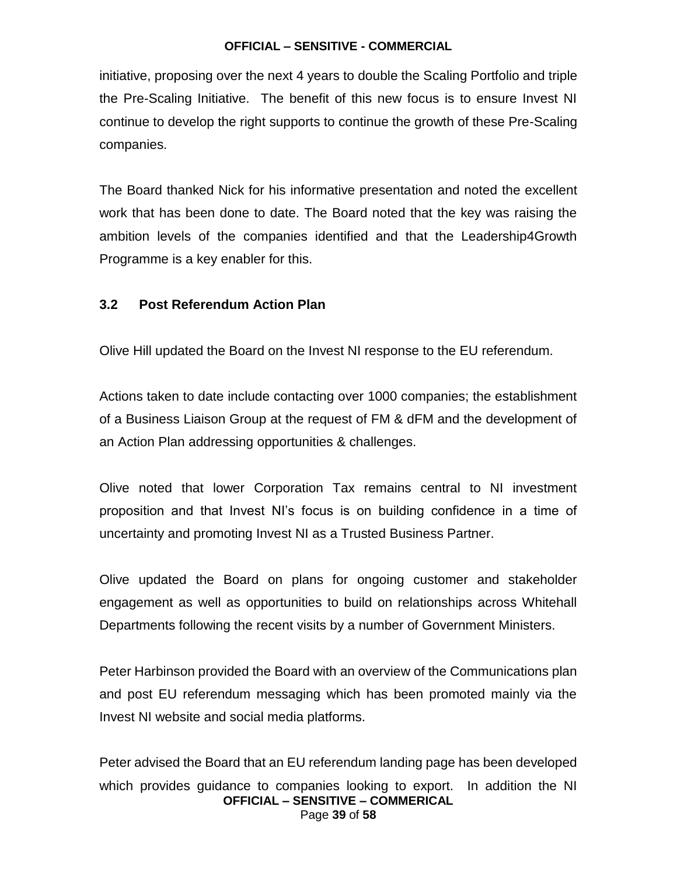initiative, proposing over the next 4 years to double the Scaling Portfolio and triple the Pre-Scaling Initiative. The benefit of this new focus is to ensure Invest NI continue to develop the right supports to continue the growth of these Pre-Scaling companies.

The Board thanked Nick for his informative presentation and noted the excellent work that has been done to date. The Board noted that the key was raising the ambition levels of the companies identified and that the Leadership4Growth Programme is a key enabler for this.

### **3.2 Post Referendum Action Plan**

Olive Hill updated the Board on the Invest NI response to the EU referendum.

Actions taken to date include contacting over 1000 companies; the establishment of a Business Liaison Group at the request of FM & dFM and the development of an Action Plan addressing opportunities & challenges.

Olive noted that lower Corporation Tax remains central to NI investment proposition and that Invest NI's focus is on building confidence in a time of uncertainty and promoting Invest NI as a Trusted Business Partner.

Olive updated the Board on plans for ongoing customer and stakeholder engagement as well as opportunities to build on relationships across Whitehall Departments following the recent visits by a number of Government Ministers.

Peter Harbinson provided the Board with an overview of the Communications plan and post EU referendum messaging which has been promoted mainly via the Invest NI website and social media platforms.

**OFFICIAL – SENSITIVE – COMMERICAL** Page **39** of **58** Peter advised the Board that an EU referendum landing page has been developed which provides guidance to companies looking to export. In addition the NI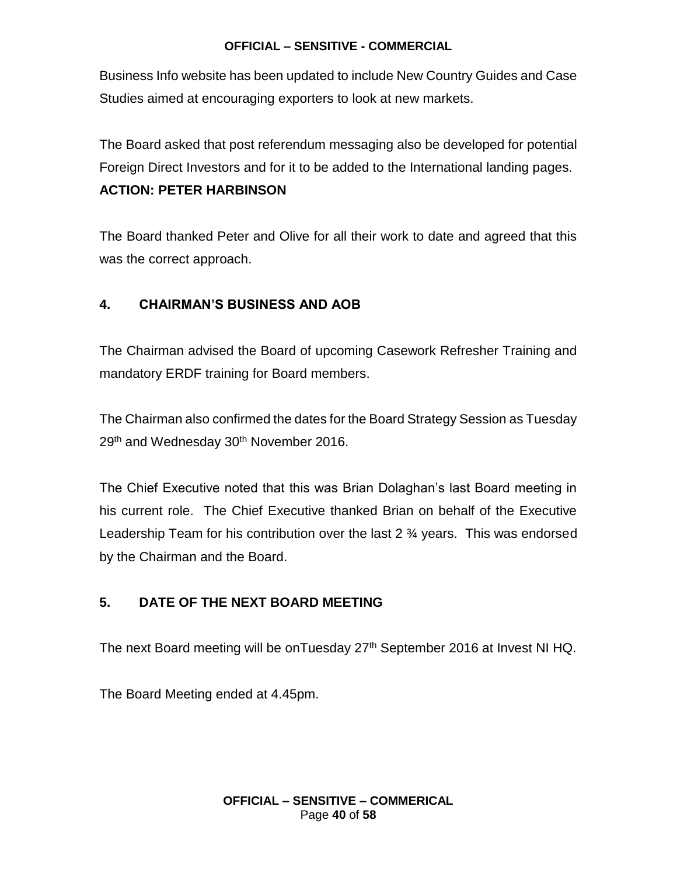Business Info website has been updated to include New Country Guides and Case Studies aimed at encouraging exporters to look at new markets.

The Board asked that post referendum messaging also be developed for potential Foreign Direct Investors and for it to be added to the International landing pages.

### **ACTION: PETER HARBINSON**

The Board thanked Peter and Olive for all their work to date and agreed that this was the correct approach.

### **4. CHAIRMAN'S BUSINESS AND AOB**

The Chairman advised the Board of upcoming Casework Refresher Training and mandatory ERDF training for Board members.

The Chairman also confirmed the dates for the Board Strategy Session as Tuesday 29<sup>th</sup> and Wednesday 30<sup>th</sup> November 2016.

The Chief Executive noted that this was Brian Dolaghan's last Board meeting in his current role. The Chief Executive thanked Brian on behalf of the Executive Leadership Team for his contribution over the last 2 ¾ years. This was endorsed by the Chairman and the Board.

### **5. DATE OF THE NEXT BOARD MEETING**

The next Board meeting will be onTuesday 27<sup>th</sup> September 2016 at Invest NI HQ.

The Board Meeting ended at 4.45pm.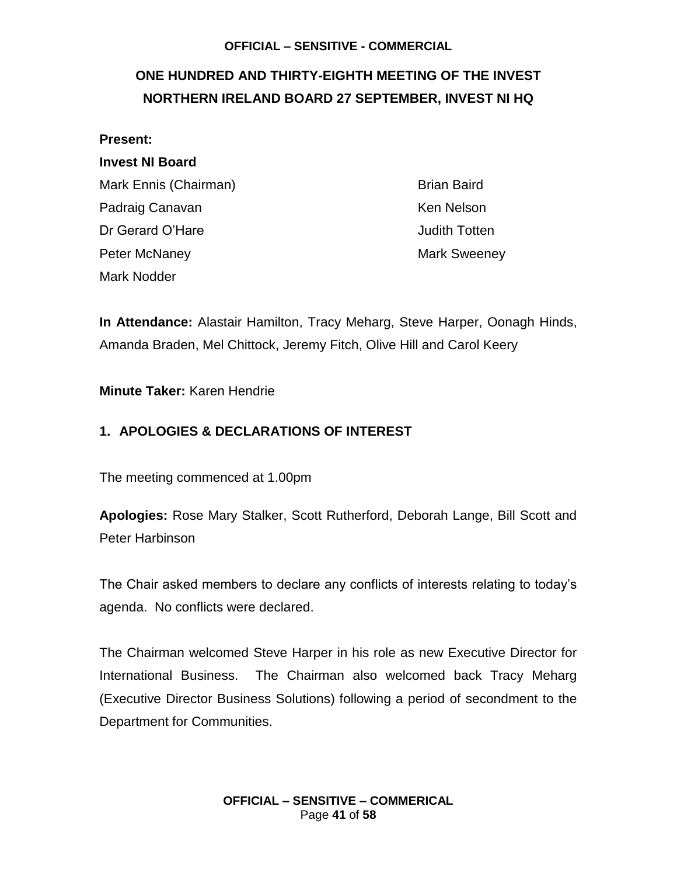## <span id="page-40-0"></span>**ONE HUNDRED AND THIRTY-EIGHTH MEETING OF THE INVEST NORTHERN IRELAND BOARD 27 SEPTEMBER, INVEST NI HQ**

#### **Present:**

### **Invest NI Board**

Mark Ennis (Chairman) Brian Baird Padraig Canavan **Ken Nelson** Ken Nelson Dr Gerard O'Hare **Judith Totten** Peter McNaney **Mark Sweeney** Mark Sweeney Mark Nodder

**In Attendance:** Alastair Hamilton, Tracy Meharg, Steve Harper, Oonagh Hinds, Amanda Braden, Mel Chittock, Jeremy Fitch, Olive Hill and Carol Keery

#### **Minute Taker:** Karen Hendrie

### **1. APOLOGIES & DECLARATIONS OF INTEREST**

The meeting commenced at 1.00pm

**Apologies:** Rose Mary Stalker, Scott Rutherford, Deborah Lange, Bill Scott and Peter Harbinson

The Chair asked members to declare any conflicts of interests relating to today's agenda. No conflicts were declared.

The Chairman welcomed Steve Harper in his role as new Executive Director for International Business. The Chairman also welcomed back Tracy Meharg (Executive Director Business Solutions) following a period of secondment to the Department for Communities.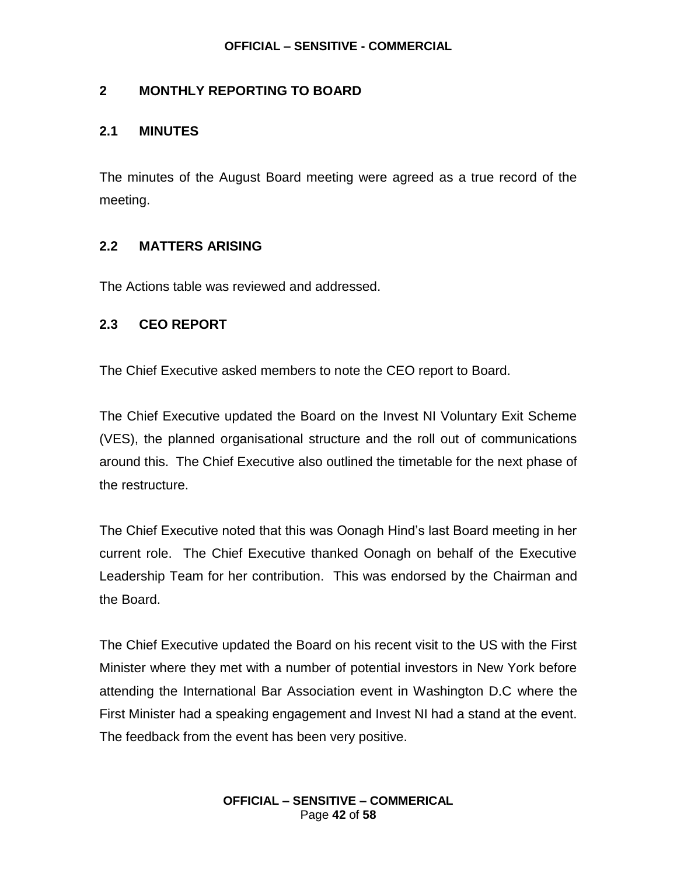### **2 MONTHLY REPORTING TO BOARD**

#### **2.1 MINUTES**

The minutes of the August Board meeting were agreed as a true record of the meeting.

### **2.2 MATTERS ARISING**

The Actions table was reviewed and addressed.

#### **2.3 CEO REPORT**

The Chief Executive asked members to note the CEO report to Board.

The Chief Executive updated the Board on the Invest NI Voluntary Exit Scheme (VES), the planned organisational structure and the roll out of communications around this. The Chief Executive also outlined the timetable for the next phase of the restructure.

The Chief Executive noted that this was Oonagh Hind's last Board meeting in her current role. The Chief Executive thanked Oonagh on behalf of the Executive Leadership Team for her contribution. This was endorsed by the Chairman and the Board.

The Chief Executive updated the Board on his recent visit to the US with the First Minister where they met with a number of potential investors in New York before attending the International Bar Association event in Washington D.C where the First Minister had a speaking engagement and Invest NI had a stand at the event. The feedback from the event has been very positive.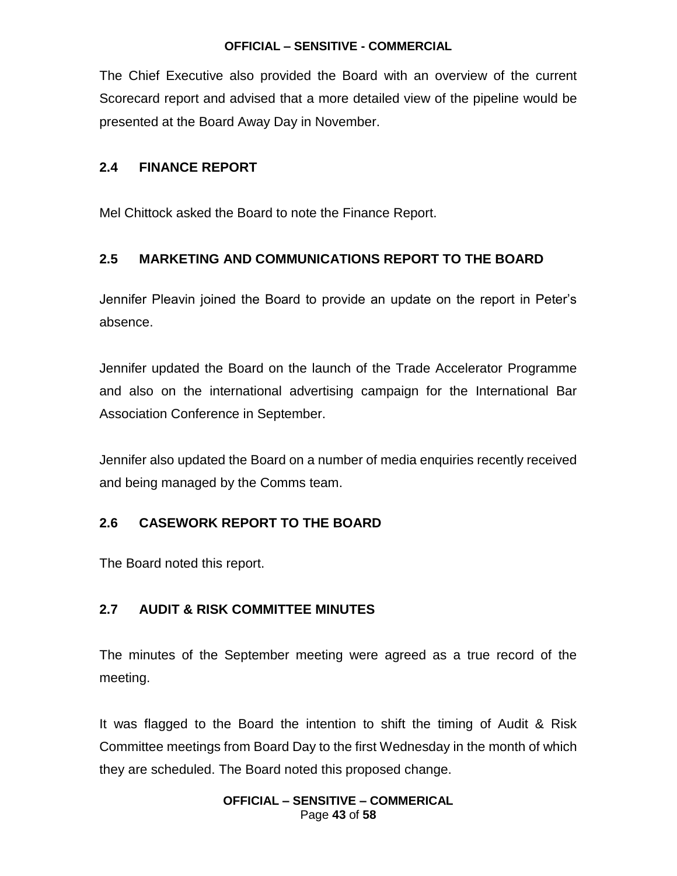The Chief Executive also provided the Board with an overview of the current Scorecard report and advised that a more detailed view of the pipeline would be presented at the Board Away Day in November.

### **2.4 FINANCE REPORT**

Mel Chittock asked the Board to note the Finance Report.

### **2.5 MARKETING AND COMMUNICATIONS REPORT TO THE BOARD**

Jennifer Pleavin joined the Board to provide an update on the report in Peter's absence.

Jennifer updated the Board on the launch of the Trade Accelerator Programme and also on the international advertising campaign for the International Bar Association Conference in September.

Jennifer also updated the Board on a number of media enquiries recently received and being managed by the Comms team.

### **2.6 CASEWORK REPORT TO THE BOARD**

The Board noted this report.

### **2.7 AUDIT & RISK COMMITTEE MINUTES**

The minutes of the September meeting were agreed as a true record of the meeting.

It was flagged to the Board the intention to shift the timing of Audit & Risk Committee meetings from Board Day to the first Wednesday in the month of which they are scheduled. The Board noted this proposed change.

#### **OFFICIAL – SENSITIVE – COMMERICAL** Page **43** of **58**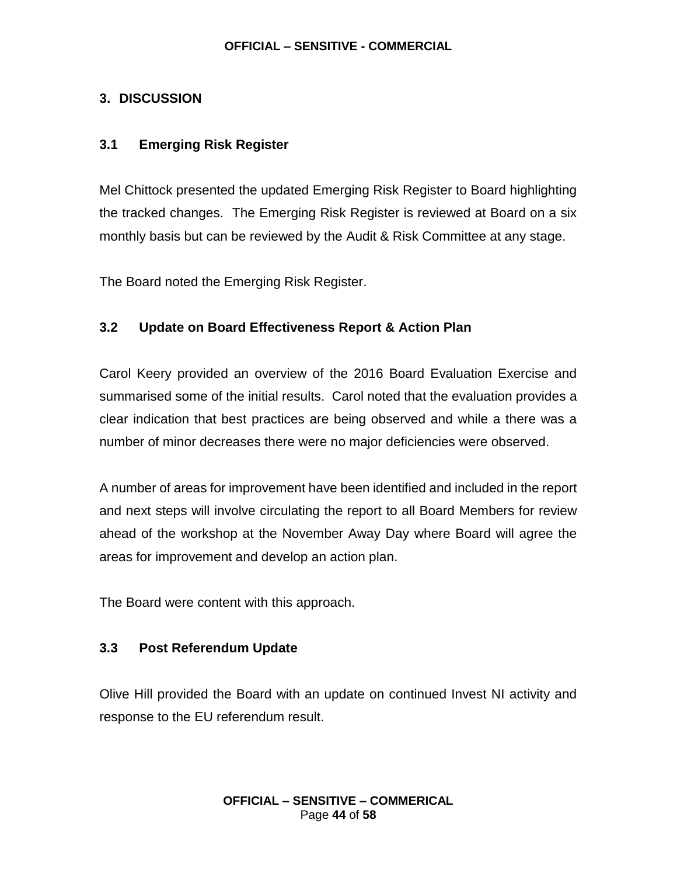### **3. DISCUSSION**

### **3.1 Emerging Risk Register**

Mel Chittock presented the updated Emerging Risk Register to Board highlighting the tracked changes. The Emerging Risk Register is reviewed at Board on a six monthly basis but can be reviewed by the Audit & Risk Committee at any stage.

The Board noted the Emerging Risk Register.

### **3.2 Update on Board Effectiveness Report & Action Plan**

Carol Keery provided an overview of the 2016 Board Evaluation Exercise and summarised some of the initial results. Carol noted that the evaluation provides a clear indication that best practices are being observed and while a there was a number of minor decreases there were no major deficiencies were observed.

A number of areas for improvement have been identified and included in the report and next steps will involve circulating the report to all Board Members for review ahead of the workshop at the November Away Day where Board will agree the areas for improvement and develop an action plan.

The Board were content with this approach.

### **3.3 Post Referendum Update**

Olive Hill provided the Board with an update on continued Invest NI activity and response to the EU referendum result.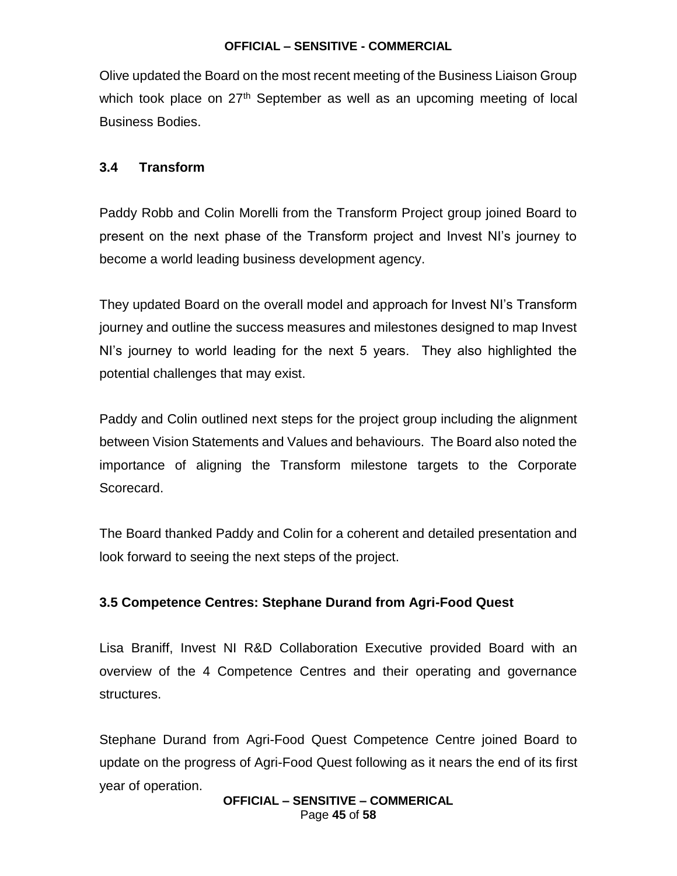Olive updated the Board on the most recent meeting of the Business Liaison Group which took place on  $27<sup>th</sup>$  September as well as an upcoming meeting of local Business Bodies.

### **3.4 Transform**

Paddy Robb and Colin Morelli from the Transform Project group joined Board to present on the next phase of the Transform project and Invest NI's journey to become a world leading business development agency.

They updated Board on the overall model and approach for Invest NI's Transform journey and outline the success measures and milestones designed to map Invest NI's journey to world leading for the next 5 years. They also highlighted the potential challenges that may exist.

Paddy and Colin outlined next steps for the project group including the alignment between Vision Statements and Values and behaviours. The Board also noted the importance of aligning the Transform milestone targets to the Corporate Scorecard.

The Board thanked Paddy and Colin for a coherent and detailed presentation and look forward to seeing the next steps of the project.

#### **3.5 Competence Centres: Stephane Durand from Agri-Food Quest**

Lisa Braniff, Invest NI R&D Collaboration Executive provided Board with an overview of the 4 Competence Centres and their operating and governance structures.

Stephane Durand from Agri-Food Quest Competence Centre joined Board to update on the progress of Agri-Food Quest following as it nears the end of its first year of operation.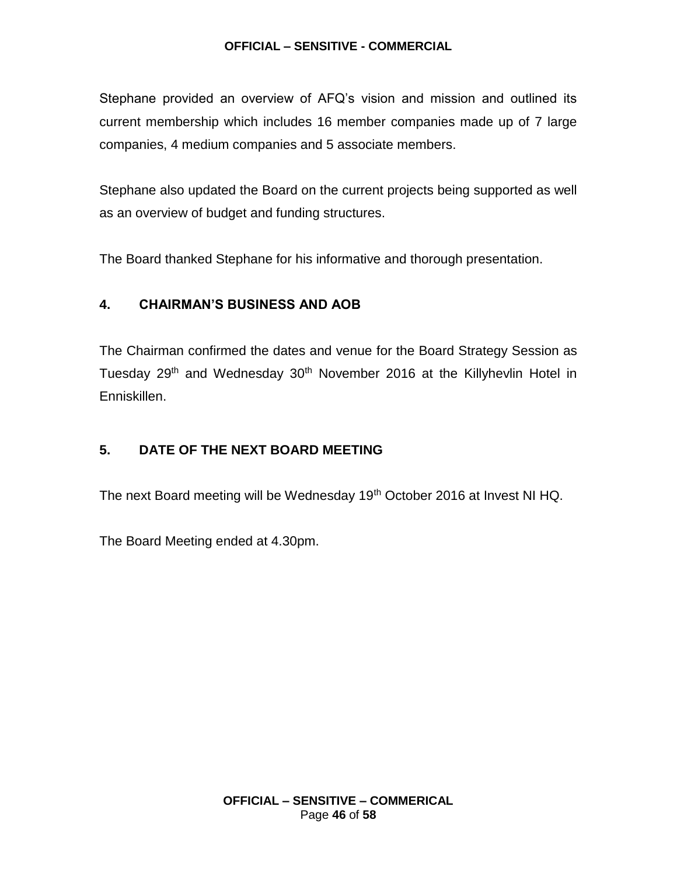Stephane provided an overview of AFQ's vision and mission and outlined its current membership which includes 16 member companies made up of 7 large companies, 4 medium companies and 5 associate members.

Stephane also updated the Board on the current projects being supported as well as an overview of budget and funding structures.

The Board thanked Stephane for his informative and thorough presentation.

### **4. CHAIRMAN'S BUSINESS AND AOB**

The Chairman confirmed the dates and venue for the Board Strategy Session as Tuesday 29<sup>th</sup> and Wednesday 30<sup>th</sup> November 2016 at the Killyhevlin Hotel in Enniskillen.

### **5. DATE OF THE NEXT BOARD MEETING**

The next Board meeting will be Wednesday 19<sup>th</sup> October 2016 at Invest NI HQ.

The Board Meeting ended at 4.30pm.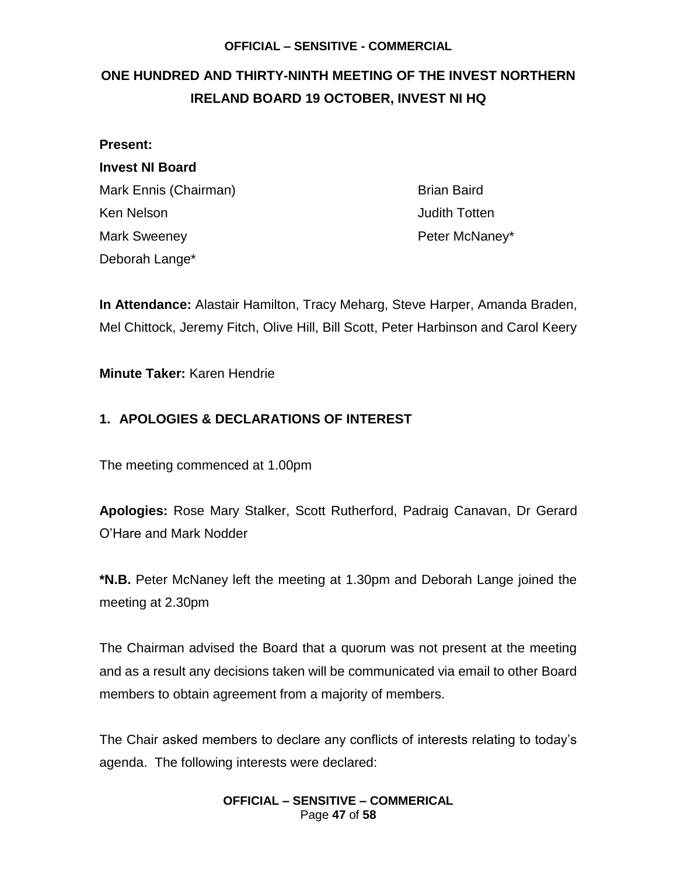## <span id="page-46-0"></span>**ONE HUNDRED AND THIRTY-NINTH MEETING OF THE INVEST NORTHERN IRELAND BOARD 19 OCTOBER, INVEST NI HQ**

| <b>Present:</b>        |  |  |
|------------------------|--|--|
| <b>Invest NI Board</b> |  |  |
| Mark Ennis (Chairman)  |  |  |
| Ken Nelson             |  |  |
| <b>Mark Sweeney</b>    |  |  |
| Deborah Lange*         |  |  |

Brian Baird **Judith Totten** Peter McNaney\*

**In Attendance:** Alastair Hamilton, Tracy Meharg, Steve Harper, Amanda Braden, Mel Chittock, Jeremy Fitch, Olive Hill, Bill Scott, Peter Harbinson and Carol Keery

#### **Minute Taker:** Karen Hendrie

### **1. APOLOGIES & DECLARATIONS OF INTEREST**

The meeting commenced at 1.00pm

**Apologies:** Rose Mary Stalker, Scott Rutherford, Padraig Canavan, Dr Gerard O'Hare and Mark Nodder

**\*N.B.** Peter McNaney left the meeting at 1.30pm and Deborah Lange joined the meeting at 2.30pm

The Chairman advised the Board that a quorum was not present at the meeting and as a result any decisions taken will be communicated via email to other Board members to obtain agreement from a majority of members.

The Chair asked members to declare any conflicts of interests relating to today's agenda. The following interests were declared:

#### **OFFICIAL – SENSITIVE – COMMERICAL** Page **47** of **58**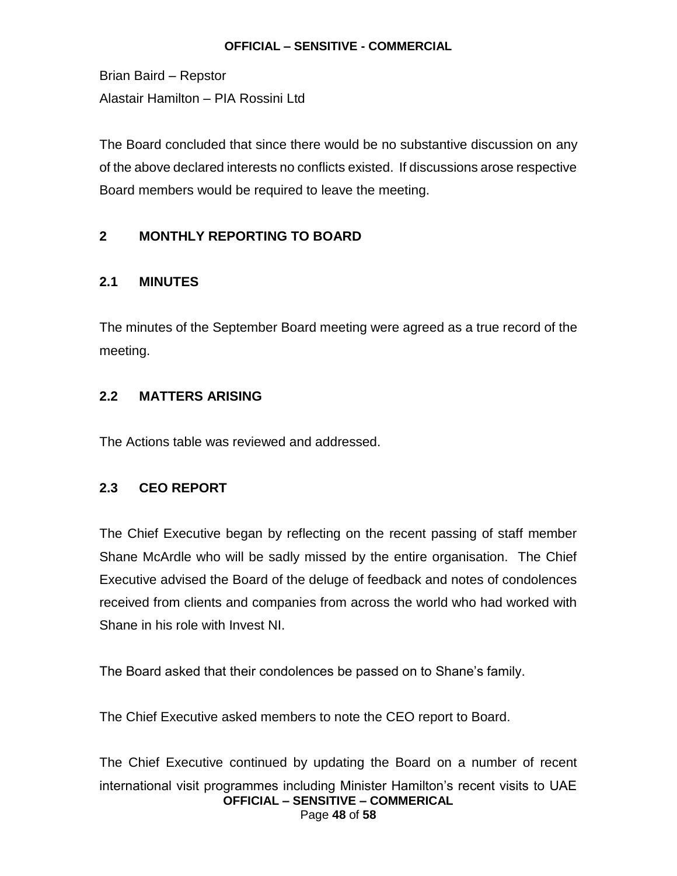Brian Baird – Repstor Alastair Hamilton – PIA Rossini Ltd

The Board concluded that since there would be no substantive discussion on any of the above declared interests no conflicts existed. If discussions arose respective Board members would be required to leave the meeting.

### **2 MONTHLY REPORTING TO BOARD**

### **2.1 MINUTES**

The minutes of the September Board meeting were agreed as a true record of the meeting.

### **2.2 MATTERS ARISING**

The Actions table was reviewed and addressed.

### **2.3 CEO REPORT**

The Chief Executive began by reflecting on the recent passing of staff member Shane McArdle who will be sadly missed by the entire organisation. The Chief Executive advised the Board of the deluge of feedback and notes of condolences received from clients and companies from across the world who had worked with Shane in his role with Invest NI.

The Board asked that their condolences be passed on to Shane's family.

The Chief Executive asked members to note the CEO report to Board.

**OFFICIAL – SENSITIVE – COMMERICAL** Page **48** of **58** The Chief Executive continued by updating the Board on a number of recent international visit programmes including Minister Hamilton's recent visits to UAE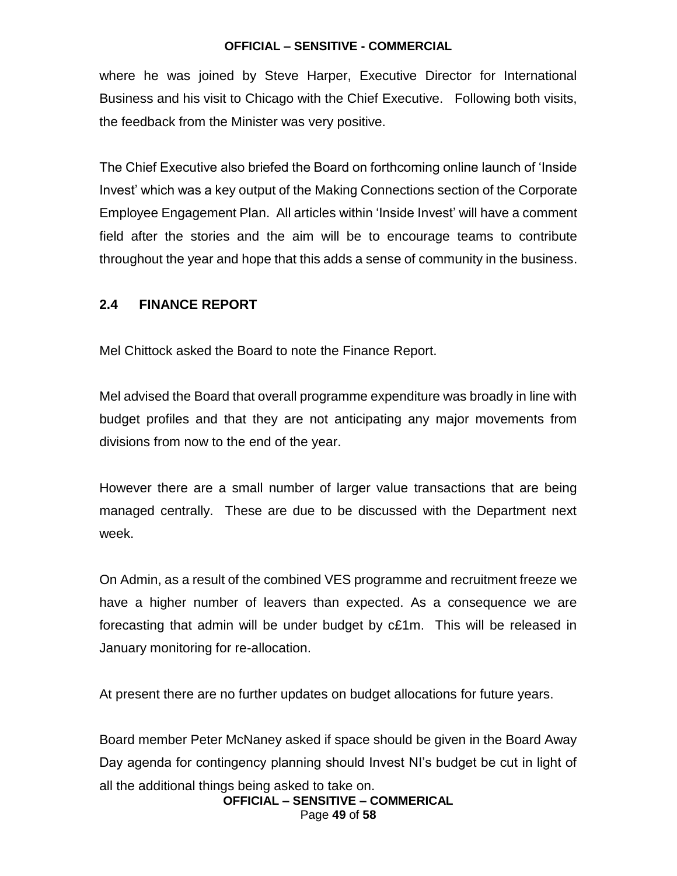where he was joined by Steve Harper, Executive Director for International Business and his visit to Chicago with the Chief Executive. Following both visits, the feedback from the Minister was very positive.

The Chief Executive also briefed the Board on forthcoming online launch of 'Inside Invest' which was a key output of the Making Connections section of the Corporate Employee Engagement Plan. All articles within 'Inside Invest' will have a comment field after the stories and the aim will be to encourage teams to contribute throughout the year and hope that this adds a sense of community in the business.

#### **2.4 FINANCE REPORT**

Mel Chittock asked the Board to note the Finance Report.

Mel advised the Board that overall programme expenditure was broadly in line with budget profiles and that they are not anticipating any major movements from divisions from now to the end of the year.

However there are a small number of larger value transactions that are being managed centrally. These are due to be discussed with the Department next week.

On Admin, as a result of the combined VES programme and recruitment freeze we have a higher number of leavers than expected. As a consequence we are forecasting that admin will be under budget by c£1m. This will be released in January monitoring for re-allocation.

At present there are no further updates on budget allocations for future years.

Board member Peter McNaney asked if space should be given in the Board Away Day agenda for contingency planning should Invest NI's budget be cut in light of all the additional things being asked to take on.

**OFFICIAL – SENSITIVE – COMMERICAL** Page **49** of **58**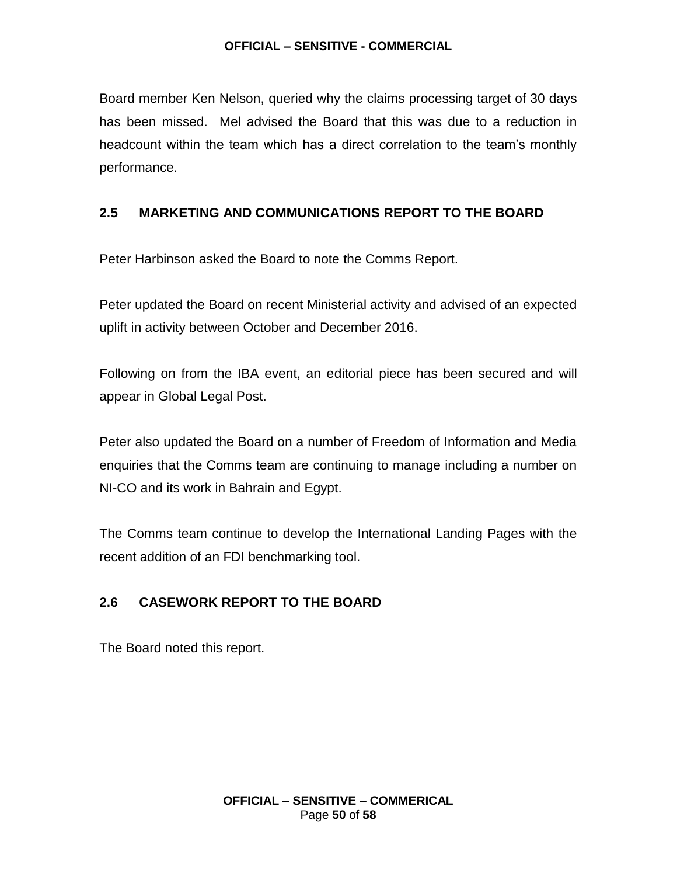Board member Ken Nelson, queried why the claims processing target of 30 days has been missed. Mel advised the Board that this was due to a reduction in headcount within the team which has a direct correlation to the team's monthly performance.

### **2.5 MARKETING AND COMMUNICATIONS REPORT TO THE BOARD**

Peter Harbinson asked the Board to note the Comms Report.

Peter updated the Board on recent Ministerial activity and advised of an expected uplift in activity between October and December 2016.

Following on from the IBA event, an editorial piece has been secured and will appear in Global Legal Post.

Peter also updated the Board on a number of Freedom of Information and Media enquiries that the Comms team are continuing to manage including a number on NI-CO and its work in Bahrain and Egypt.

The Comms team continue to develop the International Landing Pages with the recent addition of an FDI benchmarking tool.

### **2.6 CASEWORK REPORT TO THE BOARD**

The Board noted this report.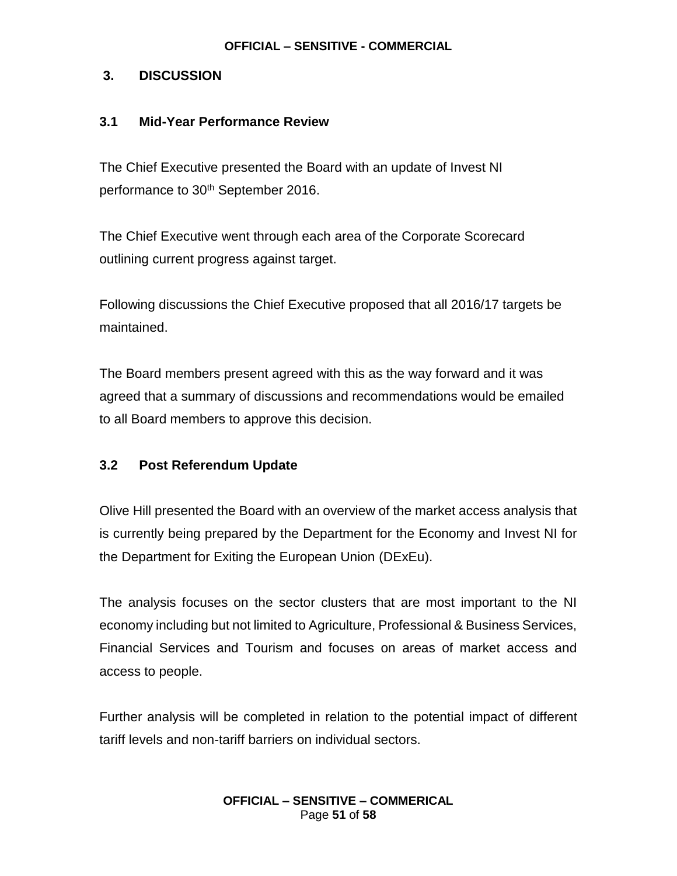### **3. DISCUSSION**

### **3.1 Mid-Year Performance Review**

The Chief Executive presented the Board with an update of Invest NI performance to 30<sup>th</sup> September 2016.

The Chief Executive went through each area of the Corporate Scorecard outlining current progress against target.

Following discussions the Chief Executive proposed that all 2016/17 targets be maintained.

The Board members present agreed with this as the way forward and it was agreed that a summary of discussions and recommendations would be emailed to all Board members to approve this decision.

### **3.2 Post Referendum Update**

Olive Hill presented the Board with an overview of the market access analysis that is currently being prepared by the Department for the Economy and Invest NI for the Department for Exiting the European Union (DExEu).

The analysis focuses on the sector clusters that are most important to the NI economy including but not limited to Agriculture, Professional & Business Services, Financial Services and Tourism and focuses on areas of market access and access to people.

Further analysis will be completed in relation to the potential impact of different tariff levels and non-tariff barriers on individual sectors.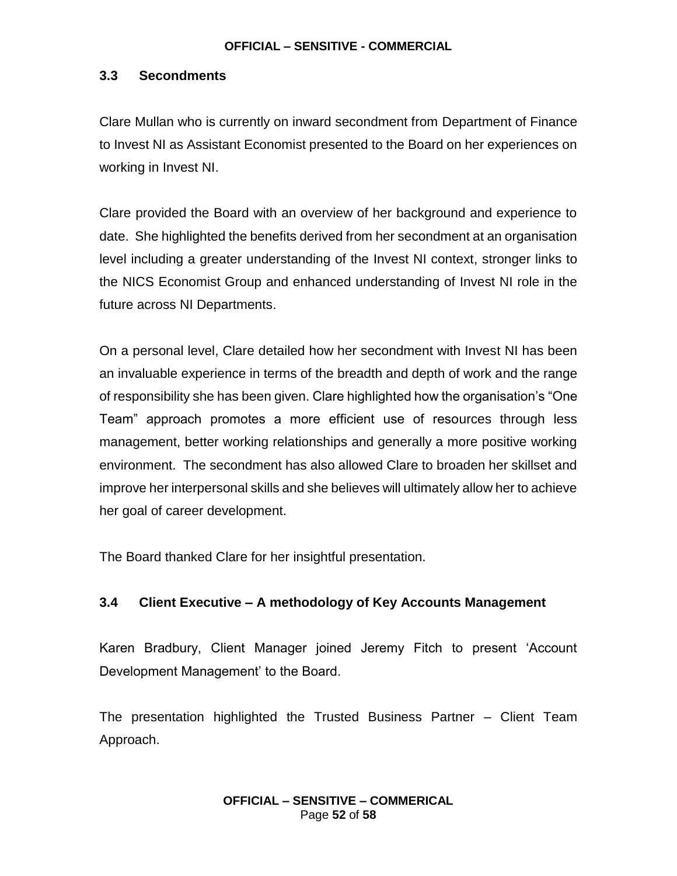### **3.3 Secondments**

Clare Mullan who is currently on inward secondment from Department of Finance to Invest NI as Assistant Economist presented to the Board on her experiences on working in Invest NI.

Clare provided the Board with an overview of her background and experience to date. She highlighted the benefits derived from her secondment at an organisation level including a greater understanding of the Invest NI context, stronger links to the NICS Economist Group and enhanced understanding of Invest NI role in the future across NI Departments.

On a personal level, Clare detailed how her secondment with Invest NI has been an invaluable experience in terms of the breadth and depth of work and the range of responsibility she has been given. Clare highlighted how the organisation's "One Team" approach promotes a more efficient use of resources through less management, better working relationships and generally a more positive working environment. The secondment has also allowed Clare to broaden her skillset and improve her interpersonal skills and she believes will ultimately allow her to achieve her goal of career development.

The Board thanked Clare for her insightful presentation.

### **3.4 Client Executive – A methodology of Key Accounts Management**

Karen Bradbury, Client Manager joined Jeremy Fitch to present 'Account Development Management' to the Board.

The presentation highlighted the Trusted Business Partner – Client Team Approach.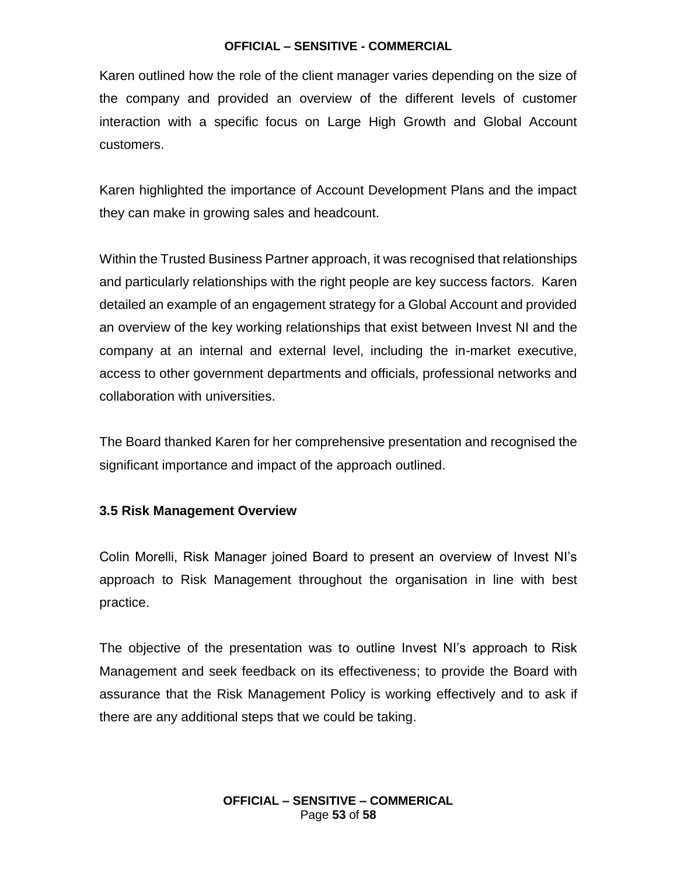Karen outlined how the role of the client manager varies depending on the size of the company and provided an overview of the different levels of customer interaction with a specific focus on Large High Growth and Global Account customers.

Karen highlighted the importance of Account Development Plans and the impact they can make in growing sales and headcount.

Within the Trusted Business Partner approach, it was recognised that relationships and particularly relationships with the right people are key success factors. Karen detailed an example of an engagement strategy for a Global Account and provided an overview of the key working relationships that exist between Invest NI and the company at an internal and external level, including the in-market executive, access to other government departments and officials, professional networks and collaboration with universities.

The Board thanked Karen for her comprehensive presentation and recognised the significant importance and impact of the approach outlined.

#### **3.5 Risk Management Overview**

Colin Morelli, Risk Manager joined Board to present an overview of Invest NI's approach to Risk Management throughout the organisation in line with best practice.

The objective of the presentation was to outline Invest NI's approach to Risk Management and seek feedback on its effectiveness; to provide the Board with assurance that the Risk Management Policy is working effectively and to ask if there are any additional steps that we could be taking.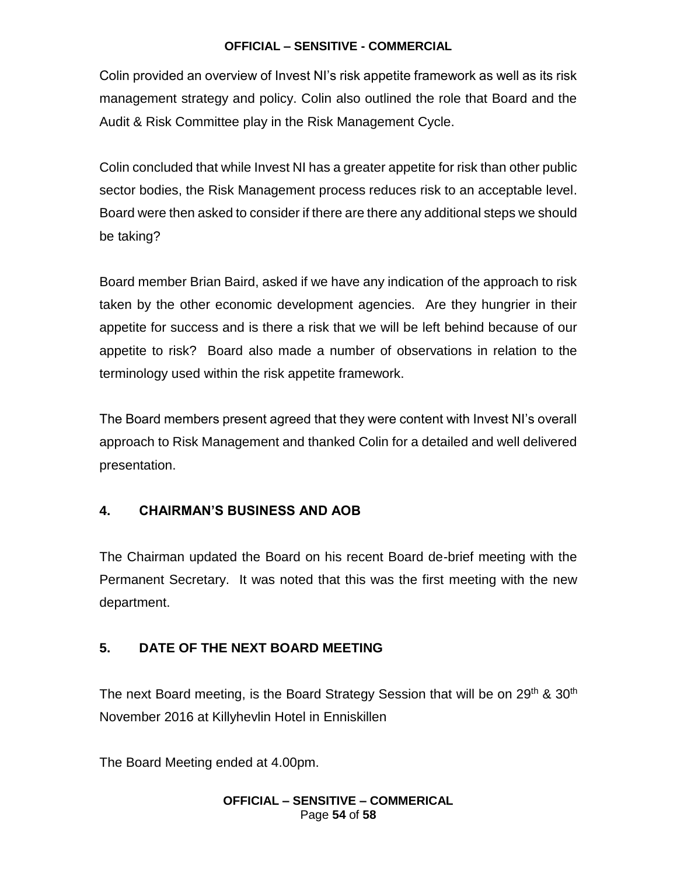Colin provided an overview of Invest NI's risk appetite framework as well as its risk management strategy and policy. Colin also outlined the role that Board and the Audit & Risk Committee play in the Risk Management Cycle.

Colin concluded that while Invest NI has a greater appetite for risk than other public sector bodies, the Risk Management process reduces risk to an acceptable level. Board were then asked to consider if there are there any additional steps we should be taking?

Board member Brian Baird, asked if we have any indication of the approach to risk taken by the other economic development agencies. Are they hungrier in their appetite for success and is there a risk that we will be left behind because of our appetite to risk? Board also made a number of observations in relation to the terminology used within the risk appetite framework.

The Board members present agreed that they were content with Invest NI's overall approach to Risk Management and thanked Colin for a detailed and well delivered presentation.

### **4. CHAIRMAN'S BUSINESS AND AOB**

The Chairman updated the Board on his recent Board de-brief meeting with the Permanent Secretary. It was noted that this was the first meeting with the new department.

### **5. DATE OF THE NEXT BOARD MEETING**

The next Board meeting, is the Board Strategy Session that will be on 29<sup>th</sup> & 30<sup>th</sup> November 2016 at Killyhevlin Hotel in Enniskillen

The Board Meeting ended at 4.00pm.

#### **OFFICIAL – SENSITIVE – COMMERICAL** Page **54** of **58**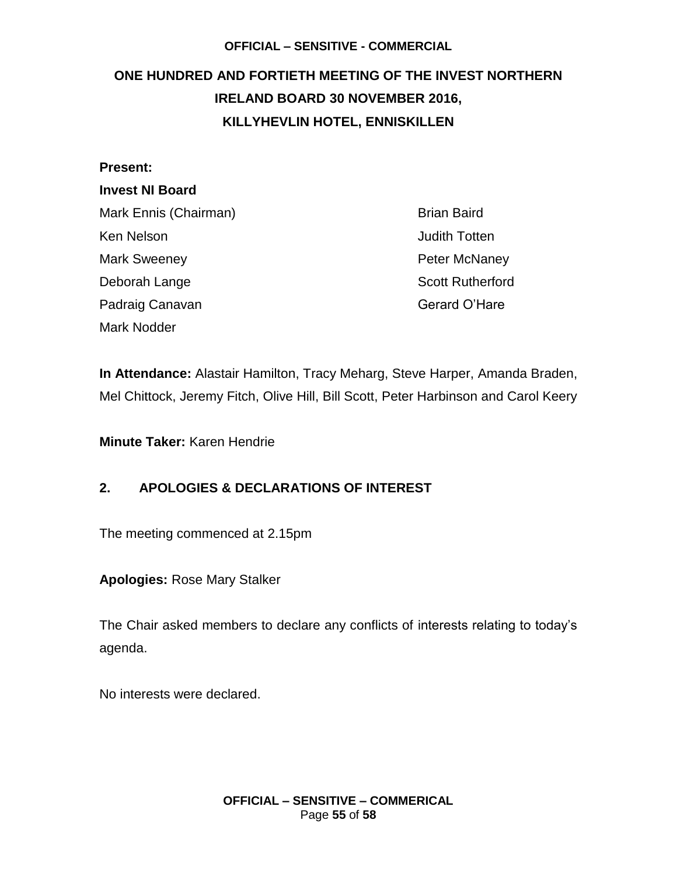# <span id="page-54-0"></span>**ONE HUNDRED AND FORTIETH MEETING OF THE INVEST NORTHERN IRELAND BOARD 30 NOVEMBER 2016, KILLYHEVLIN HOTEL, ENNISKILLEN**

#### **Present:**

### **Invest NI Board**

| Mark Ennis (Chairman) | <b>Brian Baird</b>      |
|-----------------------|-------------------------|
| Ken Nelson            | <b>Judith Totten</b>    |
| <b>Mark Sweeney</b>   | <b>Peter McNaney</b>    |
| Deborah Lange         | <b>Scott Rutherford</b> |
| Padraig Canavan       | Gerard O'Hare           |
| <b>Mark Nodder</b>    |                         |

**In Attendance:** Alastair Hamilton, Tracy Meharg, Steve Harper, Amanda Braden, Mel Chittock, Jeremy Fitch, Olive Hill, Bill Scott, Peter Harbinson and Carol Keery

**Minute Taker:** Karen Hendrie

### **2. APOLOGIES & DECLARATIONS OF INTEREST**

The meeting commenced at 2.15pm

**Apologies:** Rose Mary Stalker

The Chair asked members to declare any conflicts of interests relating to today's agenda.

No interests were declared.

**OFFICIAL – SENSITIVE – COMMERICAL** Page **55** of **58**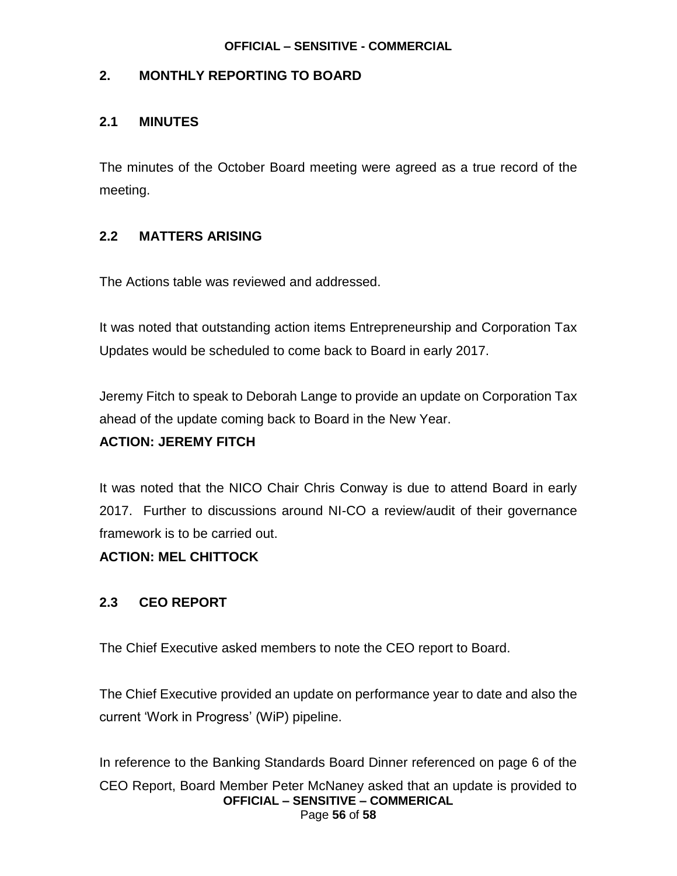### **2. MONTHLY REPORTING TO BOARD**

#### **2.1 MINUTES**

The minutes of the October Board meeting were agreed as a true record of the meeting.

### **2.2 MATTERS ARISING**

The Actions table was reviewed and addressed.

It was noted that outstanding action items Entrepreneurship and Corporation Tax Updates would be scheduled to come back to Board in early 2017.

Jeremy Fitch to speak to Deborah Lange to provide an update on Corporation Tax ahead of the update coming back to Board in the New Year.

#### **ACTION: JEREMY FITCH**

It was noted that the NICO Chair Chris Conway is due to attend Board in early 2017. Further to discussions around NI-CO a review/audit of their governance framework is to be carried out.

#### **ACTION: MEL CHITTOCK**

### **2.3 CEO REPORT**

The Chief Executive asked members to note the CEO report to Board.

The Chief Executive provided an update on performance year to date and also the current 'Work in Progress' (WiP) pipeline.

**OFFICIAL – SENSITIVE – COMMERICAL** Page **56** of **58** In reference to the Banking Standards Board Dinner referenced on page 6 of the CEO Report, Board Member Peter McNaney asked that an update is provided to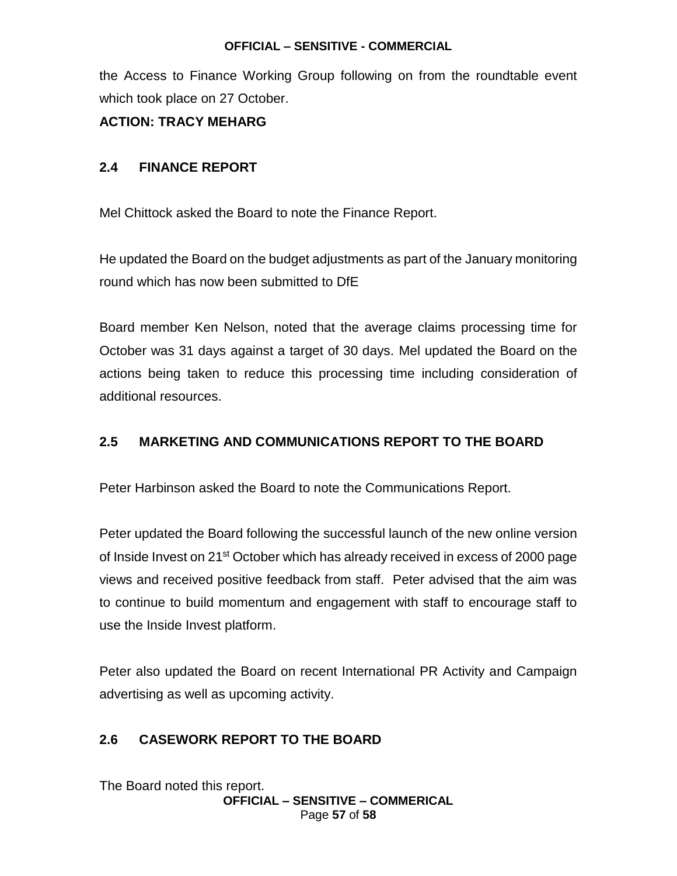the Access to Finance Working Group following on from the roundtable event which took place on 27 October.

### **ACTION: TRACY MEHARG**

### **2.4 FINANCE REPORT**

Mel Chittock asked the Board to note the Finance Report.

He updated the Board on the budget adjustments as part of the January monitoring round which has now been submitted to DfE

Board member Ken Nelson, noted that the average claims processing time for October was 31 days against a target of 30 days. Mel updated the Board on the actions being taken to reduce this processing time including consideration of additional resources.

### **2.5 MARKETING AND COMMUNICATIONS REPORT TO THE BOARD**

Peter Harbinson asked the Board to note the Communications Report.

Peter updated the Board following the successful launch of the new online version of Inside Invest on 21<sup>st</sup> October which has already received in excess of 2000 page views and received positive feedback from staff. Peter advised that the aim was to continue to build momentum and engagement with staff to encourage staff to use the Inside Invest platform.

Peter also updated the Board on recent International PR Activity and Campaign advertising as well as upcoming activity.

### **2.6 CASEWORK REPORT TO THE BOARD**

The Board noted this report.

**OFFICIAL – SENSITIVE – COMMERICAL** Page **57** of **58**